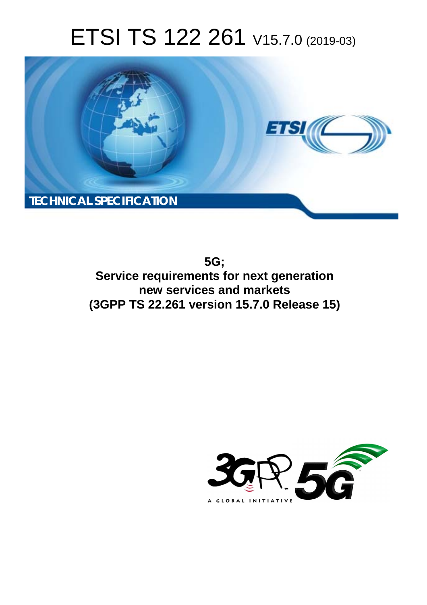# ETSI TS 122 261 V15.7.0 (2019-03)



**5G; Service requirements for next generation new services and markets (3GPP TS 22.261 version 15.7.0 Release 15)** 

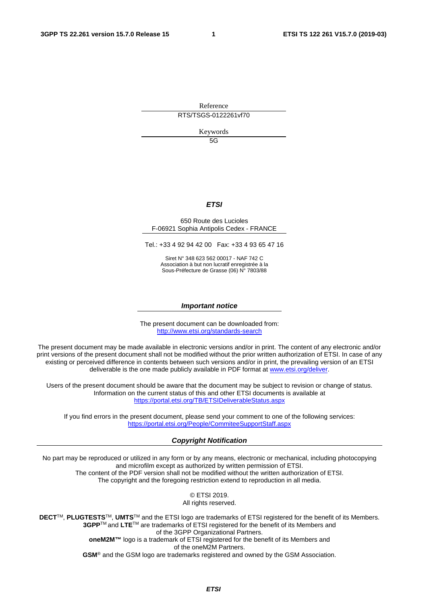Reference

RTS/TSGS-0122261vf70

Keywords

5G

#### *ETSI*

#### 650 Route des Lucioles F-06921 Sophia Antipolis Cedex - FRANCE

Tel.: +33 4 92 94 42 00 Fax: +33 4 93 65 47 16

Siret N° 348 623 562 00017 - NAF 742 C Association à but non lucratif enregistrée à la Sous-Préfecture de Grasse (06) N° 7803/88

#### *Important notice*

The present document can be downloaded from: <http://www.etsi.org/standards-search>

The present document may be made available in electronic versions and/or in print. The content of any electronic and/or print versions of the present document shall not be modified without the prior written authorization of ETSI. In case of any existing or perceived difference in contents between such versions and/or in print, the prevailing version of an ETSI deliverable is the one made publicly available in PDF format at [www.etsi.org/deliver](http://www.etsi.org/deliver).

Users of the present document should be aware that the document may be subject to revision or change of status. Information on the current status of this and other ETSI documents is available at <https://portal.etsi.org/TB/ETSIDeliverableStatus.aspx>

If you find errors in the present document, please send your comment to one of the following services: <https://portal.etsi.org/People/CommiteeSupportStaff.aspx>

#### *Copyright Notification*

No part may be reproduced or utilized in any form or by any means, electronic or mechanical, including photocopying and microfilm except as authorized by written permission of ETSI. The content of the PDF version shall not be modified without the written authorization of ETSI. The copyright and the foregoing restriction extend to reproduction in all media.

> © ETSI 2019. All rights reserved.

**DECT**TM, **PLUGTESTS**TM, **UMTS**TM and the ETSI logo are trademarks of ETSI registered for the benefit of its Members. **3GPP**TM and **LTE**TM are trademarks of ETSI registered for the benefit of its Members and of the 3GPP Organizational Partners. **oneM2M™** logo is a trademark of ETSI registered for the benefit of its Members and of the oneM2M Partners. **GSM**® and the GSM logo are trademarks registered and owned by the GSM Association.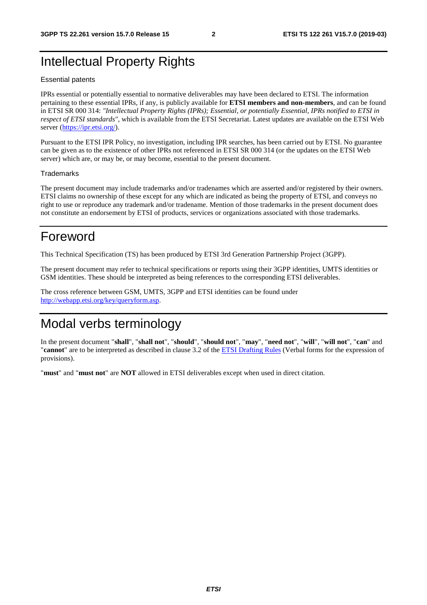## Intellectual Property Rights

#### Essential patents

IPRs essential or potentially essential to normative deliverables may have been declared to ETSI. The information pertaining to these essential IPRs, if any, is publicly available for **ETSI members and non-members**, and can be found in ETSI SR 000 314: *"Intellectual Property Rights (IPRs); Essential, or potentially Essential, IPRs notified to ETSI in respect of ETSI standards"*, which is available from the ETSI Secretariat. Latest updates are available on the ETSI Web server ([https://ipr.etsi.org/\)](https://ipr.etsi.org/).

Pursuant to the ETSI IPR Policy, no investigation, including IPR searches, has been carried out by ETSI. No guarantee can be given as to the existence of other IPRs not referenced in ETSI SR 000 314 (or the updates on the ETSI Web server) which are, or may be, or may become, essential to the present document.

#### **Trademarks**

The present document may include trademarks and/or tradenames which are asserted and/or registered by their owners. ETSI claims no ownership of these except for any which are indicated as being the property of ETSI, and conveys no right to use or reproduce any trademark and/or tradename. Mention of those trademarks in the present document does not constitute an endorsement by ETSI of products, services or organizations associated with those trademarks.

## Foreword

This Technical Specification (TS) has been produced by ETSI 3rd Generation Partnership Project (3GPP).

The present document may refer to technical specifications or reports using their 3GPP identities, UMTS identities or GSM identities. These should be interpreted as being references to the corresponding ETSI deliverables.

The cross reference between GSM, UMTS, 3GPP and ETSI identities can be found under [http://webapp.etsi.org/key/queryform.asp.](http://webapp.etsi.org/key/queryform.asp)

## Modal verbs terminology

In the present document "**shall**", "**shall not**", "**should**", "**should not**", "**may**", "**need not**", "**will**", "**will not**", "**can**" and "**cannot**" are to be interpreted as described in clause 3.2 of the [ETSI Drafting Rules](https://portal.etsi.org/Services/editHelp!/Howtostart/ETSIDraftingRules.aspx) (Verbal forms for the expression of provisions).

"**must**" and "**must not**" are **NOT** allowed in ETSI deliverables except when used in direct citation.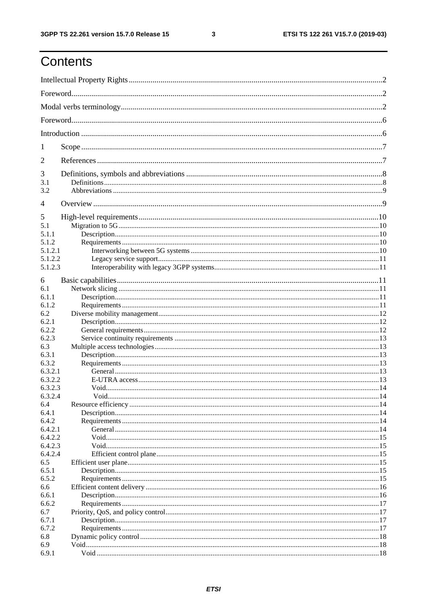## Contents

| 1              |  |  |  |  |  |  |
|----------------|--|--|--|--|--|--|
| $\overline{2}$ |  |  |  |  |  |  |
| 3              |  |  |  |  |  |  |
| 3.1<br>3.2     |  |  |  |  |  |  |
| 4              |  |  |  |  |  |  |
| 5              |  |  |  |  |  |  |
| 5.1            |  |  |  |  |  |  |
| 5.1.1          |  |  |  |  |  |  |
| 5.1.2          |  |  |  |  |  |  |
|                |  |  |  |  |  |  |
| 5.1.2.1        |  |  |  |  |  |  |
| 5.1.2.2        |  |  |  |  |  |  |
| 5.1.2.3        |  |  |  |  |  |  |
| 6              |  |  |  |  |  |  |
| 6.1            |  |  |  |  |  |  |
|                |  |  |  |  |  |  |
| 6.1.1          |  |  |  |  |  |  |
| 6.1.2          |  |  |  |  |  |  |
| 6.2            |  |  |  |  |  |  |
| 6.2.1          |  |  |  |  |  |  |
| 6.2.2          |  |  |  |  |  |  |
| 6.2.3          |  |  |  |  |  |  |
| 6.3            |  |  |  |  |  |  |
| 6.3.1          |  |  |  |  |  |  |
| 6.3.2          |  |  |  |  |  |  |
| 6.3.2.1        |  |  |  |  |  |  |
| 6.3.2.2        |  |  |  |  |  |  |
| 6.3.2.3        |  |  |  |  |  |  |
| 6.3.2.4        |  |  |  |  |  |  |
| 6.4            |  |  |  |  |  |  |
| 6.4.1          |  |  |  |  |  |  |
| 6.4.2          |  |  |  |  |  |  |
|                |  |  |  |  |  |  |
| 6.4.2.1        |  |  |  |  |  |  |
| 6.4.2.2        |  |  |  |  |  |  |
| 6.4.2.3        |  |  |  |  |  |  |
| 6.4.2.4        |  |  |  |  |  |  |
| 6.5            |  |  |  |  |  |  |
| 6.5.1          |  |  |  |  |  |  |
| 6.5.2          |  |  |  |  |  |  |
| 6.6            |  |  |  |  |  |  |
| 6.6.1          |  |  |  |  |  |  |
| 6.6.2          |  |  |  |  |  |  |
| 6.7            |  |  |  |  |  |  |
| 6.7.1          |  |  |  |  |  |  |
| 6.7.2          |  |  |  |  |  |  |
| 6.8            |  |  |  |  |  |  |
| 6.9            |  |  |  |  |  |  |
| 6.9.1          |  |  |  |  |  |  |
|                |  |  |  |  |  |  |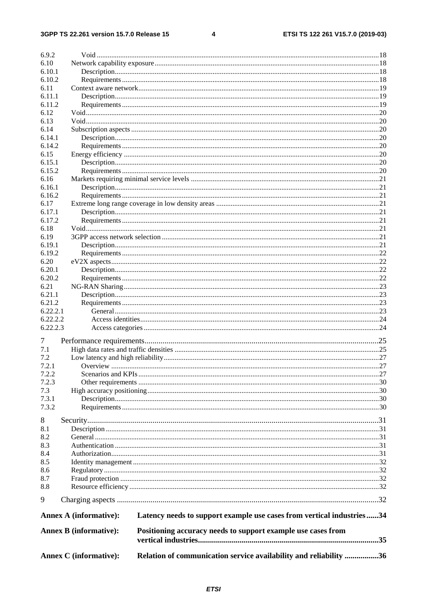$\overline{\mathbf{4}}$ 

| 6.9.2    |                               |                                                                       |  |
|----------|-------------------------------|-----------------------------------------------------------------------|--|
| 6.10     |                               |                                                                       |  |
| 6.10.1   |                               |                                                                       |  |
| 6.10.2   |                               |                                                                       |  |
| 6.11     |                               |                                                                       |  |
| 6.11.1   |                               |                                                                       |  |
| 6.11.2   |                               |                                                                       |  |
| 6.12     |                               |                                                                       |  |
| 6.13     |                               |                                                                       |  |
| 6.14     |                               |                                                                       |  |
| 6.14.1   |                               |                                                                       |  |
| 6.14.2   |                               |                                                                       |  |
| 6.15     |                               |                                                                       |  |
| 6.15.1   |                               |                                                                       |  |
| 6.15.2   |                               |                                                                       |  |
| 6.16     |                               |                                                                       |  |
| 6.16.1   |                               |                                                                       |  |
| 6.16.2   |                               |                                                                       |  |
| 6.17     |                               |                                                                       |  |
| 6.17.1   |                               |                                                                       |  |
| 6.17.2   |                               |                                                                       |  |
| 6.18     |                               |                                                                       |  |
| 6.19     |                               |                                                                       |  |
| 6.19.1   |                               |                                                                       |  |
| 6.19.2   |                               |                                                                       |  |
| 6.20     |                               |                                                                       |  |
| 6.20.1   |                               |                                                                       |  |
| 6.20.2   |                               |                                                                       |  |
| 6.21     |                               |                                                                       |  |
| 6.21.1   |                               |                                                                       |  |
| 6.21.2   |                               |                                                                       |  |
| 6.22.2.1 |                               |                                                                       |  |
| 6.22.2.2 |                               |                                                                       |  |
| 6.22.2.3 |                               |                                                                       |  |
| 7        |                               |                                                                       |  |
| 7.1      |                               |                                                                       |  |
| 7.2      |                               |                                                                       |  |
| 7.2.1    |                               |                                                                       |  |
| 7.2.2    |                               |                                                                       |  |
| 7.2.3    |                               |                                                                       |  |
| 7.3      |                               |                                                                       |  |
| 7.3.1    |                               |                                                                       |  |
| 7.3.2    |                               |                                                                       |  |
| 8        |                               |                                                                       |  |
| 8.1      |                               |                                                                       |  |
| 8.2      |                               |                                                                       |  |
| 8.3      |                               |                                                                       |  |
| 8.4      |                               |                                                                       |  |
| 8.5      |                               |                                                                       |  |
| 8.6      |                               |                                                                       |  |
| 8.7      |                               |                                                                       |  |
| 8.8      |                               |                                                                       |  |
| 9        |                               |                                                                       |  |
|          | <b>Annex A (informative):</b> | Latency needs to support example use cases from vertical industries34 |  |
|          | <b>Annex B</b> (informative): | Positioning accuracy needs to support example use cases from          |  |
|          |                               |                                                                       |  |
|          | <b>Annex C</b> (informative): | Relation of communication service availability and reliability 36     |  |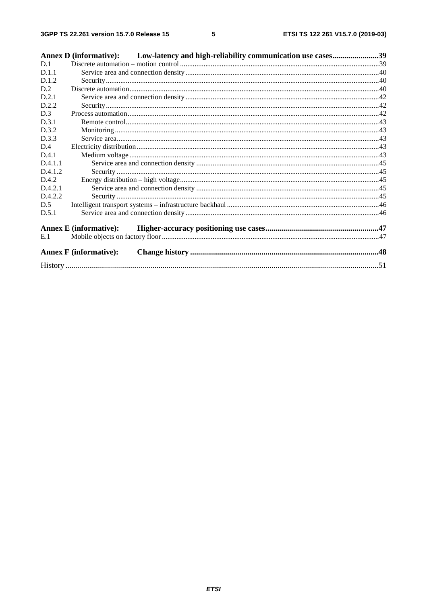|         | Annex D (informative): Low-latency and high-reliability communication use cases39 |  |
|---------|-----------------------------------------------------------------------------------|--|
| D.1     |                                                                                   |  |
| D.1.1   |                                                                                   |  |
| D.1.2   |                                                                                   |  |
| D.2     |                                                                                   |  |
| D.2.1   |                                                                                   |  |
| D.2.2   |                                                                                   |  |
| D.3     |                                                                                   |  |
| D.3.1   |                                                                                   |  |
| D.3.2   |                                                                                   |  |
| D.3.3   |                                                                                   |  |
| D.4     |                                                                                   |  |
| D.4.1   |                                                                                   |  |
| D.4.1.1 |                                                                                   |  |
| D.4.1.2 |                                                                                   |  |
| D.4.2   |                                                                                   |  |
| D.4.2.1 |                                                                                   |  |
| D.4.2.2 |                                                                                   |  |
| D.5     |                                                                                   |  |
| D.5.1   |                                                                                   |  |
|         | <b>Annex E</b> (informative):                                                     |  |
| E.1     |                                                                                   |  |
|         | <b>Annex F</b> (informative):                                                     |  |
|         |                                                                                   |  |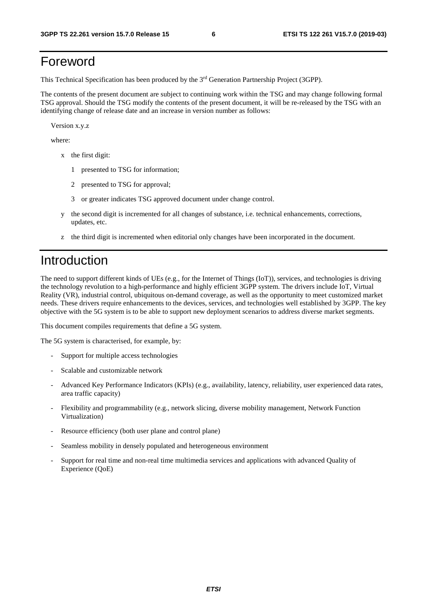## Foreword

This Technical Specification has been produced by the 3rd Generation Partnership Project (3GPP).

The contents of the present document are subject to continuing work within the TSG and may change following formal TSG approval. Should the TSG modify the contents of the present document, it will be re-released by the TSG with an identifying change of release date and an increase in version number as follows:

Version x.y.z

where:

- x the first digit:
	- 1 presented to TSG for information;
	- 2 presented to TSG for approval;
	- 3 or greater indicates TSG approved document under change control.
- y the second digit is incremented for all changes of substance, i.e. technical enhancements, corrections, updates, etc.
- z the third digit is incremented when editorial only changes have been incorporated in the document.

## Introduction

The need to support different kinds of UEs (e.g., for the Internet of Things (IoT)), services, and technologies is driving the technology revolution to a high-performance and highly efficient 3GPP system. The drivers include IoT, Virtual Reality (VR), industrial control, ubiquitous on-demand coverage, as well as the opportunity to meet customized market needs. These drivers require enhancements to the devices, services, and technologies well established by 3GPP. The key objective with the 5G system is to be able to support new deployment scenarios to address diverse market segments.

This document compiles requirements that define a 5G system.

The 5G system is characterised, for example, by:

- Support for multiple access technologies
- Scalable and customizable network
- Advanced Key Performance Indicators (KPIs) (e.g., availability, latency, reliability, user experienced data rates, area traffic capacity)
- Flexibility and programmability (e.g., network slicing, diverse mobility management, Network Function Virtualization)
- Resource efficiency (both user plane and control plane)
- Seamless mobility in densely populated and heterogeneous environment
- Support for real time and non-real time multimedia services and applications with advanced Quality of Experience (QoE)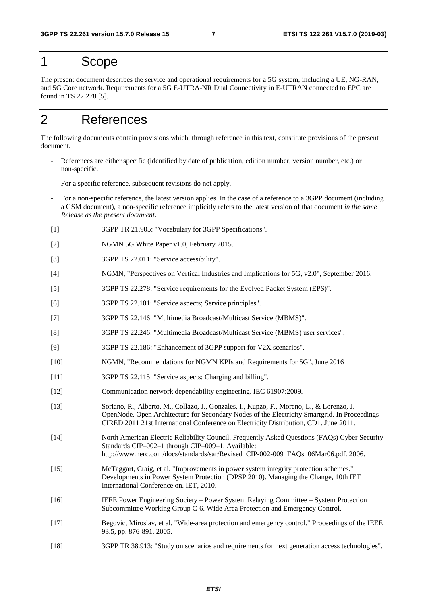## 1 Scope

The present document describes the service and operational requirements for a 5G system, including a UE, NG-RAN, and 5G Core network. Requirements for a 5G E-UTRA-NR Dual Connectivity in E-UTRAN connected to EPC are found in TS 22.278 [5].

## 2 References

The following documents contain provisions which, through reference in this text, constitute provisions of the present document.

- References are either specific (identified by date of publication, edition number, version number, etc.) or non-specific.
- For a specific reference, subsequent revisions do not apply.
- For a non-specific reference, the latest version applies. In the case of a reference to a 3GPP document (including a GSM document), a non-specific reference implicitly refers to the latest version of that document *in the same Release as the present document*.
- [1] 3GPP TR 21.905: "Vocabulary for 3GPP Specifications".
- [2] NGMN 5G White Paper v1.0, February 2015.
- [3] 3GPP TS 22.011: "Service accessibility".
- [4] NGMN, "Perspectives on Vertical Industries and Implications for 5G, v2.0", September 2016.
- [5] 3GPP TS 22.278: "Service requirements for the Evolved Packet System (EPS)".
- [6] 3GPP TS 22.101: "Service aspects; Service principles".
- [7] 3GPP TS 22.146: "Multimedia Broadcast/Multicast Service (MBMS)".
- [8] 3GPP TS 22.246: "Multimedia Broadcast/Multicast Service (MBMS) user services".
- [9] 3GPP TS 22.186: "Enhancement of 3GPP support for V2X scenarios".
- [10] NGMN, "Recommendations for NGMN KPIs and Requirements for 5G", June 2016
- [11] 3GPP TS 22.115: "Service aspects; Charging and billing".
- [12] Communication network dependability engineering. IEC 61907:2009.
- [13] Soriano, R., Alberto, M., Collazo, J., Gonzales, I., Kupzo, F., Moreno, L., & Lorenzo, J. OpenNode. Open Architecture for Secondary Nodes of the Electricity Smartgrid. In Proceedings CIRED 2011 21st International Conference on Electricity Distribution, CD1. June 2011.
- [14] North American Electric Reliability Council. Frequently Asked Questions (FAQs) Cyber Security Standards CIP–002–1 through CIP–009–1. Available: http://www.nerc.com/docs/standards/sar/Revised\_CIP-002-009\_FAQs\_06Mar06.pdf. 2006.
- [15] McTaggart, Craig, et al. "Improvements in power system integrity protection schemes." Developments in Power System Protection (DPSP 2010). Managing the Change, 10th IET International Conference on. IET, 2010.
- [16] IEEE Power Engineering Society Power System Relaying Committee System Protection Subcommittee Working Group C-6. Wide Area Protection and Emergency Control.
- [17] Begovic, Miroslav, et al. "Wide-area protection and emergency control." Proceedings of the IEEE 93.5, pp. 876-891, 2005.
- [18] 3GPP TR 38.913: "Study on scenarios and requirements for next generation access technologies".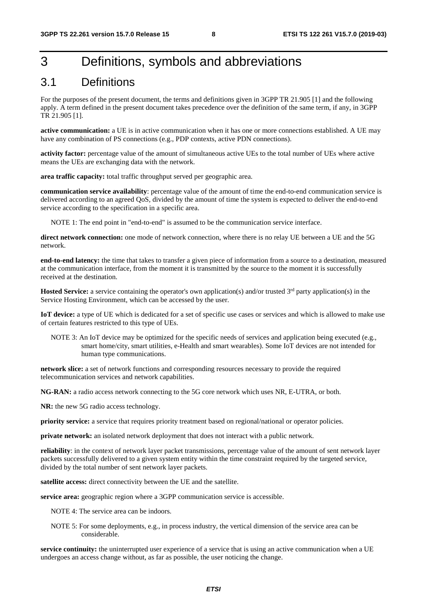## 3 Definitions, symbols and abbreviations

### 3.1 Definitions

For the purposes of the present document, the terms and definitions given in 3GPP TR 21.905 [1] and the following apply. A term defined in the present document takes precedence over the definition of the same term, if any, in 3GPP TR 21.905 [1].

**active communication:** a UE is in active communication when it has one or more connections established. A UE may have any combination of PS connections (e.g., PDP contexts, active PDN connections).

**activity factor:** percentage value of the amount of simultaneous active UEs to the total number of UEs where active means the UEs are exchanging data with the network.

**area traffic capacity:** total traffic throughput served per geographic area.

**communication service availability**: percentage value of the amount of time the end-to-end communication service is delivered according to an agreed QoS, divided by the amount of time the system is expected to deliver the end-to-end service according to the specification in a specific area.

NOTE 1: The end point in "end-to-end" is assumed to be the communication service interface.

**direct network connection:** one mode of network connection, where there is no relay UE between a UE and the 5G network.

**end-to-end latency:** the time that takes to transfer a given piece of information from a source to a destination, measured at the communication interface, from the moment it is transmitted by the source to the moment it is successfully received at the destination.

**Hosted Service:** a service containing the operator's own application(s) and/or trusted 3<sup>rd</sup> party application(s) in the Service Hosting Environment, which can be accessed by the user.

**IoT device:** a type of UE which is dedicated for a set of specific use cases or services and which is allowed to make use of certain features restricted to this type of UEs.

NOTE 3: An IoT device may be optimized for the specific needs of services and application being executed (e.g., smart home/city, smart utilities, e-Health and smart wearables). Some IoT devices are not intended for human type communications.

**network slice:** a set of network functions and corresponding resources necessary to provide the required telecommunication services and network capabilities.

**NG-RAN:** a radio access network connecting to the 5G core network which uses NR, E-UTRA, or both.

**NR:** the new 5G radio access technology.

**priority service:** a service that requires priority treatment based on regional/national or operator policies.

**private network:** an isolated network deployment that does not interact with a public network.

**reliability**: in the context of network layer packet transmissions, percentage value of the amount of sent network layer packets successfully delivered to a given system entity within the time constraint required by the targeted service, divided by the total number of sent network layer packets.

**satellite access:** direct connectivity between the UE and the satellite.

**service area:** geographic region where a 3GPP communication service is accessible.

NOTE 4: The service area can be indoors.

NOTE 5: For some deployments, e.g., in process industry, the vertical dimension of the service area can be considerable.

**service continuity:** the uninterrupted user experience of a service that is using an active communication when a UE undergoes an access change without, as far as possible, the user noticing the change.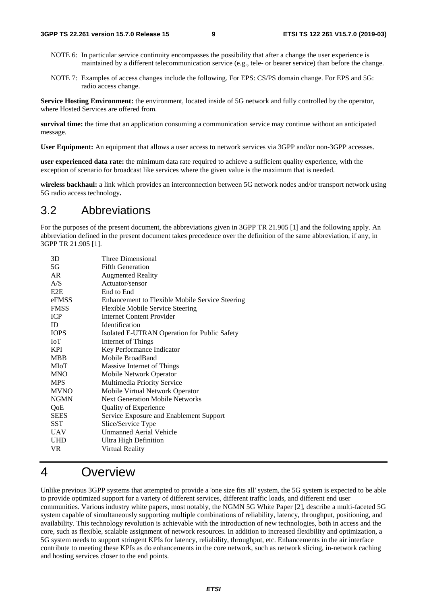- NOTE 6: In particular service continuity encompasses the possibility that after a change the user experience is maintained by a different telecommunication service (e.g., tele- or bearer service) than before the change.
- NOTE 7: Examples of access changes include the following. For EPS: CS/PS domain change. For EPS and 5G: radio access change.

**Service Hosting Environment:** the environment, located inside of 5G network and fully controlled by the operator, where Hosted Services are offered from.

**survival time:** the time that an application consuming a communication service may continue without an anticipated message.

**User Equipment:** An equipment that allows a user access to network services via 3GPP and/or non-3GPP accesses.

**user experienced data rate:** the minimum data rate required to achieve a sufficient quality experience, with the exception of scenario for broadcast like services where the given value is the maximum that is needed.

**wireless backhaul:** a link which provides an interconnection between 5G network nodes and/or transport network using 5G radio access technology**.** 

#### 3.2 Abbreviations

For the purposes of the present document, the abbreviations given in 3GPP TR 21.905 [1] and the following apply. An abbreviation defined in the present document takes precedence over the definition of the same abbreviation, if any, in 3GPP TR 21.905 [1].

| 3D          | Three Dimensional                               |
|-------------|-------------------------------------------------|
| 5G          | <b>Fifth Generation</b>                         |
| AR          | <b>Augmented Reality</b>                        |
| A/S         | Actuator/sensor                                 |
| E2E         | End to End                                      |
| eFMSS       | Enhancement to Flexible Mobile Service Steering |
| <b>FMSS</b> | <b>Flexible Mobile Service Steering</b>         |
| <b>ICP</b>  | <b>Internet Content Provider</b>                |
| ID          | <b>Identification</b>                           |
| <b>IOPS</b> | Isolated E-UTRAN Operation for Public Safety    |
| <b>IoT</b>  | Internet of Things                              |
| <b>KPI</b>  | Key Performance Indicator                       |
| <b>MBB</b>  | Mobile BroadBand                                |
| MIoT        | Massive Internet of Things                      |
| <b>MNO</b>  | Mobile Network Operator                         |
| <b>MPS</b>  | Multimedia Priority Service                     |
| <b>MVNO</b> | Mobile Virtual Network Operator                 |
| <b>NGMN</b> | <b>Next Generation Mobile Networks</b>          |
| QoE         | <b>Quality of Experience</b>                    |
| <b>SEES</b> | Service Exposure and Enablement Support         |
| SST         | Slice/Service Type                              |
| UAV         | Unmanned Aerial Vehicle                         |
| <b>UHD</b>  | Ultra High Definition                           |
| VR.         | Virtual Reality                                 |
|             |                                                 |

### 4 Overview

Unlike previous 3GPP systems that attempted to provide a 'one size fits all' system, the 5G system is expected to be able to provide optimized support for a variety of different services, different traffic loads, and different end user communities. Various industry white papers, most notably, the NGMN 5G White Paper [2], describe a multi-faceted 5G system capable of simultaneously supporting multiple combinations of reliability, latency, throughput, positioning, and availability. This technology revolution is achievable with the introduction of new technologies, both in access and the core, such as flexible, scalable assignment of network resources. In addition to increased flexibility and optimization, a 5G system needs to support stringent KPIs for latency, reliability, throughput, etc. Enhancements in the air interface contribute to meeting these KPIs as do enhancements in the core network, such as network slicing, in-network caching and hosting services closer to the end points.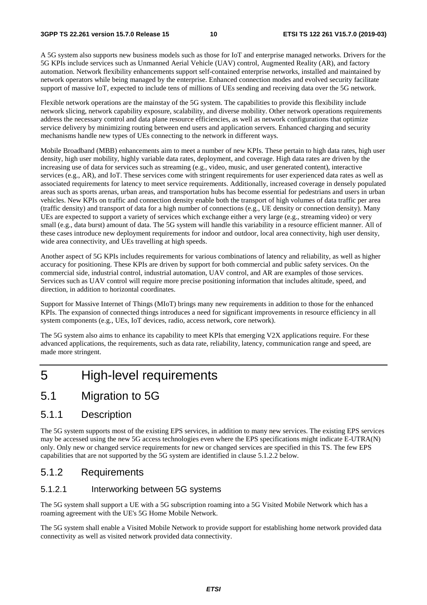A 5G system also supports new business models such as those for IoT and enterprise managed networks. Drivers for the 5G KPIs include services such as Unmanned Aerial Vehicle (UAV) control, Augmented Reality (AR), and factory automation. Network flexibility enhancements support self-contained enterprise networks, installed and maintained by network operators while being managed by the enterprise. Enhanced connection modes and evolved security facilitate support of massive IoT, expected to include tens of millions of UEs sending and receiving data over the 5G network.

Flexible network operations are the mainstay of the 5G system. The capabilities to provide this flexibility include network slicing, network capability exposure, scalability, and diverse mobility. Other network operations requirements address the necessary control and data plane resource efficiencies, as well as network configurations that optimize service delivery by minimizing routing between end users and application servers. Enhanced charging and security mechanisms handle new types of UEs connecting to the network in different ways.

Mobile Broadband (MBB) enhancements aim to meet a number of new KPIs. These pertain to high data rates, high user density, high user mobility, highly variable data rates, deployment, and coverage. High data rates are driven by the increasing use of data for services such as streaming (e.g., video, music, and user generated content), interactive services (e.g., AR), and IoT. These services come with stringent requirements for user experienced data rates as well as associated requirements for latency to meet service requirements. Additionally, increased coverage in densely populated areas such as sports arenas, urban areas, and transportation hubs has become essential for pedestrians and users in urban vehicles. New KPIs on traffic and connection density enable both the transport of high volumes of data traffic per area (traffic density) and transport of data for a high number of connections (e.g., UE density or connection density). Many UEs are expected to support a variety of services which exchange either a very large (e.g., streaming video) or very small (e.g., data burst) amount of data. The 5G system will handle this variability in a resource efficient manner. All of these cases introduce new deployment requirements for indoor and outdoor, local area connectivity, high user density, wide area connectivity, and UEs travelling at high speeds.

Another aspect of 5G KPIs includes requirements for various combinations of latency and reliability, as well as higher accuracy for positioning. These KPIs are driven by support for both commercial and public safety services. On the commercial side, industrial control, industrial automation, UAV control, and AR are examples of those services. Services such as UAV control will require more precise positioning information that includes altitude, speed, and direction, in addition to horizontal coordinates.

Support for Massive Internet of Things (MIoT) brings many new requirements in addition to those for the enhanced KPIs. The expansion of connected things introduces a need for significant improvements in resource efficiency in all system components (e.g., UEs, IoT devices, radio, access network, core network).

The 5G system also aims to enhance its capability to meet KPIs that emerging V2X applications require. For these advanced applications, the requirements, such as data rate, reliability, latency, communication range and speed, are made more stringent.

## 5 High-level requirements

### 5.1 Migration to 5G

#### 5.1.1 Description

The 5G system supports most of the existing EPS services, in addition to many new services. The existing EPS services may be accessed using the new 5G access technologies even where the EPS specifications might indicate E-UTRA(N) only. Only new or changed service requirements for new or changed services are specified in this TS. The few EPS capabilities that are not supported by the 5G system are identified in clause 5.1.2.2 below.

#### 5.1.2 Requirements

#### 5.1.2.1 Interworking between 5G systems

The 5G system shall support a UE with a 5G subscription roaming into a 5G Visited Mobile Network which has a roaming agreement with the UE's 5G Home Mobile Network.

The 5G system shall enable a Visited Mobile Network to provide support for establishing home network provided data connectivity as well as visited network provided data connectivity.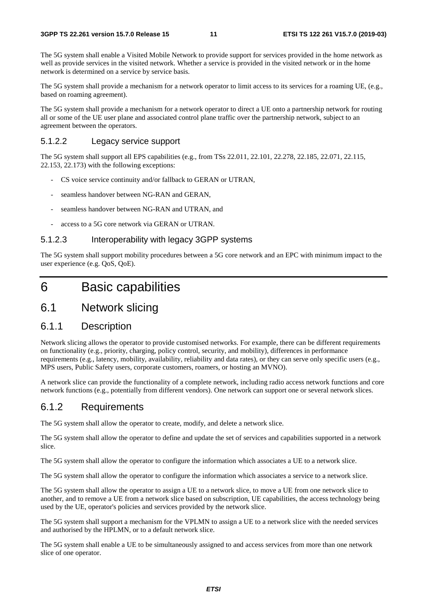The 5G system shall enable a Visited Mobile Network to provide support for services provided in the home network as well as provide services in the visited network. Whether a service is provided in the visited network or in the home network is determined on a service by service basis.

The 5G system shall provide a mechanism for a network operator to limit access to its services for a roaming UE, (e.g., based on roaming agreement).

The 5G system shall provide a mechanism for a network operator to direct a UE onto a partnership network for routing all or some of the UE user plane and associated control plane traffic over the partnership network, subject to an agreement between the operators.

#### 5.1.2.2 Legacy service support

The 5G system shall support all EPS capabilities (e.g., from TSs 22.011, 22.101, 22.278, 22.185, 22.071, 22.115, 22.153, 22.173) with the following exceptions:

- CS voice service continuity and/or fallback to GERAN or UTRAN,
- seamless handover between NG-RAN and GERAN,
- seamless handover between NG-RAN and UTRAN, and
- access to a 5G core network via GERAN or UTRAN.

#### 5.1.2.3 Interoperability with legacy 3GPP systems

The 5G system shall support mobility procedures between a 5G core network and an EPC with minimum impact to the user experience (e.g. QoS, QoE).

## 6 Basic capabilities

### 6.1 Network slicing

#### 6.1.1 Description

Network slicing allows the operator to provide customised networks. For example, there can be different requirements on functionality (e.g., priority, charging, policy control, security, and mobility), differences in performance requirements (e.g., latency, mobility, availability, reliability and data rates), or they can serve only specific users (e.g., MPS users, Public Safety users, corporate customers, roamers, or hosting an MVNO).

A network slice can provide the functionality of a complete network, including radio access network functions and core network functions (e.g., potentially from different vendors). One network can support one or several network slices.

#### 6.1.2 Requirements

The 5G system shall allow the operator to create, modify, and delete a network slice.

The 5G system shall allow the operator to define and update the set of services and capabilities supported in a network slice.

The 5G system shall allow the operator to configure the information which associates a UE to a network slice.

The 5G system shall allow the operator to configure the information which associates a service to a network slice.

The 5G system shall allow the operator to assign a UE to a network slice, to move a UE from one network slice to another, and to remove a UE from a network slice based on subscription, UE capabilities, the access technology being used by the UE, operator's policies and services provided by the network slice.

The 5G system shall support a mechanism for the VPLMN to assign a UE to a network slice with the needed services and authorised by the HPLMN, or to a default network slice.

The 5G system shall enable a UE to be simultaneously assigned to and access services from more than one network slice of one operator.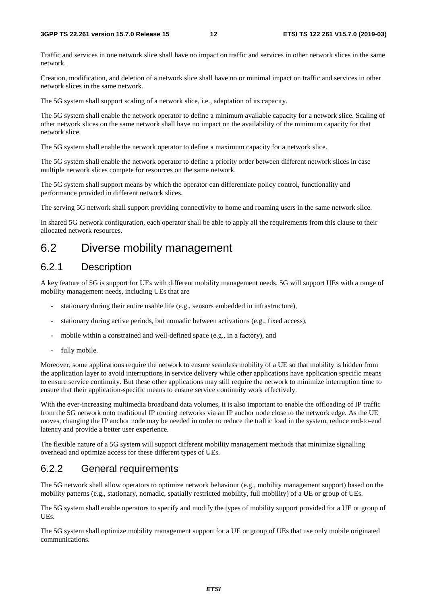Traffic and services in one network slice shall have no impact on traffic and services in other network slices in the same network.

Creation, modification, and deletion of a network slice shall have no or minimal impact on traffic and services in other network slices in the same network.

The 5G system shall support scaling of a network slice, i.e., adaptation of its capacity.

The 5G system shall enable the network operator to define a minimum available capacity for a network slice. Scaling of other network slices on the same network shall have no impact on the availability of the minimum capacity for that network slice.

The 5G system shall enable the network operator to define a maximum capacity for a network slice.

The 5G system shall enable the network operator to define a priority order between different network slices in case multiple network slices compete for resources on the same network.

The 5G system shall support means by which the operator can differentiate policy control, functionality and performance provided in different network slices.

The serving 5G network shall support providing connectivity to home and roaming users in the same network slice.

In shared 5G network configuration, each operator shall be able to apply all the requirements from this clause to their allocated network resources.

### 6.2 Diverse mobility management

#### 6.2.1 Description

A key feature of 5G is support for UEs with different mobility management needs. 5G will support UEs with a range of mobility management needs, including UEs that are

- stationary during their entire usable life (e.g., sensors embedded in infrastructure),
- stationary during active periods, but nomadic between activations (e.g., fixed access),
- mobile within a constrained and well-defined space (e.g., in a factory), and
- fully mobile.

Moreover, some applications require the network to ensure seamless mobility of a UE so that mobility is hidden from the application layer to avoid interruptions in service delivery while other applications have application specific means to ensure service continuity. But these other applications may still require the network to minimize interruption time to ensure that their application-specific means to ensure service continuity work effectively.

With the ever-increasing multimedia broadband data volumes, it is also important to enable the offloading of IP traffic from the 5G network onto traditional IP routing networks via an IP anchor node close to the network edge. As the UE moves, changing the IP anchor node may be needed in order to reduce the traffic load in the system, reduce end-to-end latency and provide a better user experience.

The flexible nature of a 5G system will support different mobility management methods that minimize signalling overhead and optimize access for these different types of UEs.

### 6.2.2 General requirements

The 5G network shall allow operators to optimize network behaviour (e.g., mobility management support) based on the mobility patterns (e.g., stationary, nomadic, spatially restricted mobility, full mobility) of a UE or group of UEs.

The 5G system shall enable operators to specify and modify the types of mobility support provided for a UE or group of UEs.

The 5G system shall optimize mobility management support for a UE or group of UEs that use only mobile originated communications.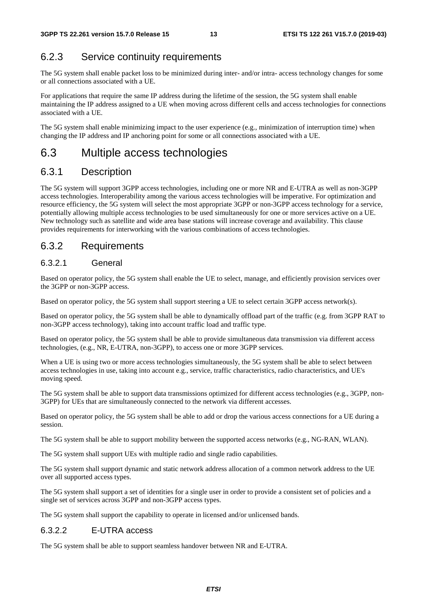### 6.2.3 Service continuity requirements

The 5G system shall enable packet loss to be minimized during inter- and/or intra- access technology changes for some or all connections associated with a UE.

For applications that require the same IP address during the lifetime of the session, the 5G system shall enable maintaining the IP address assigned to a UE when moving across different cells and access technologies for connections associated with a UE.

The 5G system shall enable minimizing impact to the user experience (e.g., minimization of interruption time) when changing the IP address and IP anchoring point for some or all connections associated with a UE.

### 6.3 Multiple access technologies

#### 6.3.1 Description

The 5G system will support 3GPP access technologies, including one or more NR and E-UTRA as well as non-3GPP access technologies. Interoperability among the various access technologies will be imperative. For optimization and resource efficiency, the 5G system will select the most appropriate 3GPP or non-3GPP access technology for a service, potentially allowing multiple access technologies to be used simultaneously for one or more services active on a UE. New technology such as satellite and wide area base stations will increase coverage and availability. This clause provides requirements for interworking with the various combinations of access technologies.

#### 6.3.2 Requirements

#### 6.3.2.1 General

Based on operator policy, the 5G system shall enable the UE to select, manage, and efficiently provision services over the 3GPP or non-3GPP access.

Based on operator policy, the 5G system shall support steering a UE to select certain 3GPP access network(s).

Based on operator policy, the 5G system shall be able to dynamically offload part of the traffic (e.g. from 3GPP RAT to non-3GPP access technology), taking into account traffic load and traffic type.

Based on operator policy, the 5G system shall be able to provide simultaneous data transmission via different access technologies, (e.g., NR, E-UTRA, non-3GPP), to access one or more 3GPP services.

When a UE is using two or more access technologies simultaneously, the 5G system shall be able to select between access technologies in use, taking into account e.g., service, traffic characteristics, radio characteristics, and UE's moving speed.

The 5G system shall be able to support data transmissions optimized for different access technologies (e.g., 3GPP, non-3GPP) for UEs that are simultaneously connected to the network via different accesses.

Based on operator policy, the 5G system shall be able to add or drop the various access connections for a UE during a session.

The 5G system shall be able to support mobility between the supported access networks (e.g., NG-RAN, WLAN).

The 5G system shall support UEs with multiple radio and single radio capabilities.

The 5G system shall support dynamic and static network address allocation of a common network address to the UE over all supported access types.

The 5G system shall support a set of identities for a single user in order to provide a consistent set of policies and a single set of services across 3GPP and non-3GPP access types.

The 5G system shall support the capability to operate in licensed and/or unlicensed bands.

#### 6.3.2.2 E-UTRA access

The 5G system shall be able to support seamless handover between NR and E-UTRA.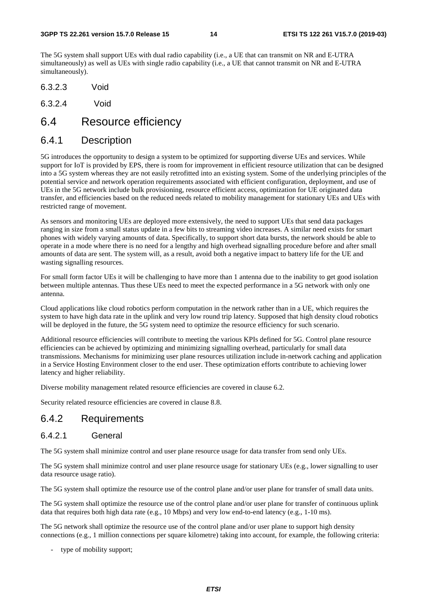The 5G system shall support UEs with dual radio capability (i.e., a UE that can transmit on NR and E-UTRA simultaneously) as well as UEs with single radio capability (i.e., a UE that cannot transmit on NR and E-UTRA simultaneously).

- 6.3.2.3 Void
- 6.3.2.4 Void

### 6.4 Resource efficiency

#### 6.4.1 Description

5G introduces the opportunity to design a system to be optimized for supporting diverse UEs and services. While support for IoT is provided by EPS, there is room for improvement in efficient resource utilization that can be designed into a 5G system whereas they are not easily retrofitted into an existing system. Some of the underlying principles of the potential service and network operation requirements associated with efficient configuration, deployment, and use of UEs in the 5G network include bulk provisioning, resource efficient access, optimization for UE originated data transfer, and efficiencies based on the reduced needs related to mobility management for stationary UEs and UEs with restricted range of movement.

As sensors and monitoring UEs are deployed more extensively, the need to support UEs that send data packages ranging in size from a small status update in a few bits to streaming video increases. A similar need exists for smart phones with widely varying amounts of data. Specifically, to support short data bursts, the network should be able to operate in a mode where there is no need for a lengthy and high overhead signalling procedure before and after small amounts of data are sent. The system will, as a result, avoid both a negative impact to battery life for the UE and wasting signalling resources.

For small form factor UEs it will be challenging to have more than 1 antenna due to the inability to get good isolation between multiple antennas. Thus these UEs need to meet the expected performance in a 5G network with only one antenna.

Cloud applications like cloud robotics perform computation in the network rather than in a UE, which requires the system to have high data rate in the uplink and very low round trip latency. Supposed that high density cloud robotics will be deployed in the future, the 5G system need to optimize the resource efficiency for such scenario.

Additional resource efficiencies will contribute to meeting the various KPIs defined for 5G. Control plane resource efficiencies can be achieved by optimizing and minimizing signalling overhead, particularly for small data transmissions. Mechanisms for minimizing user plane resources utilization include in-network caching and application in a Service Hosting Environment closer to the end user. These optimization efforts contribute to achieving lower latency and higher reliability.

Diverse mobility management related resource efficiencies are covered in clause 6.2.

Security related resource efficiencies are covered in clause 8.8.

#### 6.4.2 Requirements

#### 6.4.2.1 General

The 5G system shall minimize control and user plane resource usage for data transfer from send only UEs.

The 5G system shall minimize control and user plane resource usage for stationary UEs (e.g., lower signalling to user data resource usage ratio).

The 5G system shall optimize the resource use of the control plane and/or user plane for transfer of small data units.

The 5G system shall optimize the resource use of the control plane and/or user plane for transfer of continuous uplink data that requires both high data rate (e.g., 10 Mbps) and very low end-to-end latency (e.g., 1-10 ms).

The 5G network shall optimize the resource use of the control plane and/or user plane to support high density connections (e.g., 1 million connections per square kilometre) taking into account, for example, the following criteria:

type of mobility support;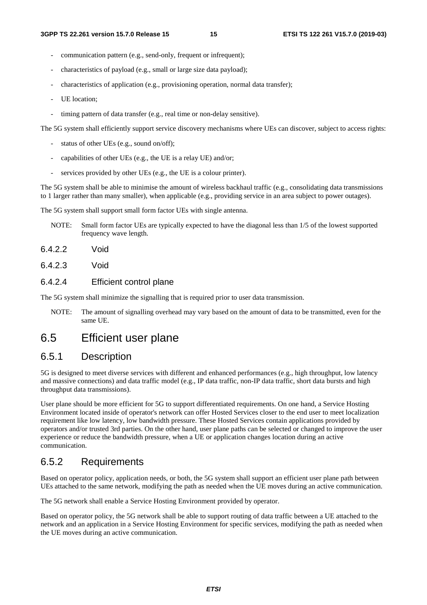- communication pattern (e.g., send-only, frequent or infrequent);
- characteristics of payload (e.g., small or large size data payload);
- characteristics of application (e.g., provisioning operation, normal data transfer);
- UE location:
- timing pattern of data transfer (e.g., real time or non-delay sensitive).

The 5G system shall efficiently support service discovery mechanisms where UEs can discover, subject to access rights:

- status of other UEs (e.g., sound on/off);
- capabilities of other UEs (e.g., the UE is a relay UE) and/or;
- services provided by other UEs (e.g., the UE is a colour printer).

The 5G system shall be able to minimise the amount of wireless backhaul traffic (e.g., consolidating data transmissions to 1 larger rather than many smaller), when applicable (e.g., providing service in an area subject to power outages).

The 5G system shall support small form factor UEs with single antenna.

- NOTE: Small form factor UEs are typically expected to have the diagonal less than 1/5 of the lowest supported frequency wave length.
- 6.4.2.2 Void
- 6.4.2.3 Void

#### 6.4.2.4 Efficient control plane

The 5G system shall minimize the signalling that is required prior to user data transmission.

NOTE: The amount of signalling overhead may vary based on the amount of data to be transmitted, even for the same UE.

### 6.5 Efficient user plane

#### 6.5.1 Description

5G is designed to meet diverse services with different and enhanced performances (e.g., high throughput, low latency and massive connections) and data traffic model (e.g., IP data traffic, non-IP data traffic, short data bursts and high throughput data transmissions).

User plane should be more efficient for 5G to support differentiated requirements. On one hand, a Service Hosting Environment located inside of operator's network can offer Hosted Services closer to the end user to meet localization requirement like low latency, low bandwidth pressure. These Hosted Services contain applications provided by operators and/or trusted 3rd parties. On the other hand, user plane paths can be selected or changed to improve the user experience or reduce the bandwidth pressure, when a UE or application changes location during an active communication.

#### 6.5.2 Requirements

Based on operator policy, application needs, or both, the 5G system shall support an efficient user plane path between UEs attached to the same network, modifying the path as needed when the UE moves during an active communication.

The 5G network shall enable a Service Hosting Environment provided by operator.

Based on operator policy, the 5G network shall be able to support routing of data traffic between a UE attached to the network and an application in a Service Hosting Environment for specific services, modifying the path as needed when the UE moves during an active communication.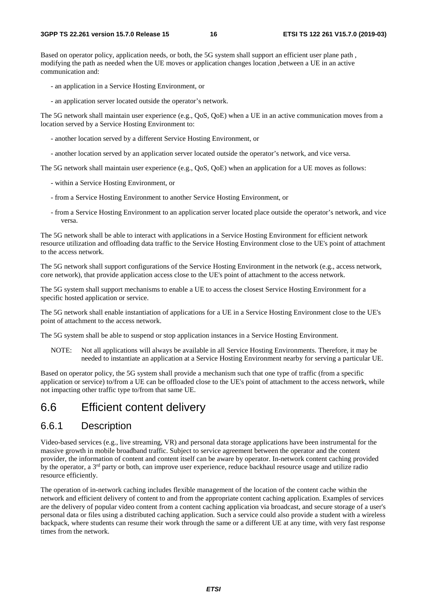Based on operator policy, application needs, or both, the 5G system shall support an efficient user plane path, modifying the path as needed when the UE moves or application changes location ,between a UE in an active communication and:

- an application in a Service Hosting Environment, or
- an application server located outside the operator's network.

The 5G network shall maintain user experience (e.g., QoS, QoE) when a UE in an active communication moves from a location served by a Service Hosting Environment to:

- another location served by a different Service Hosting Environment, or
- another location served by an application server located outside the operator's network, and vice versa.

The 5G network shall maintain user experience (e.g., QoS, QoE) when an application for a UE moves as follows:

- within a Service Hosting Environment, or
- from a Service Hosting Environment to another Service Hosting Environment, or
- from a Service Hosting Environment to an application server located place outside the operator's network, and vice versa.

The 5G network shall be able to interact with applications in a Service Hosting Environment for efficient network resource utilization and offloading data traffic to the Service Hosting Environment close to the UE's point of attachment to the access network.

The 5G network shall support configurations of the Service Hosting Environment in the network (e.g., access network, core network), that provide application access close to the UE's point of attachment to the access network.

The 5G system shall support mechanisms to enable a UE to access the closest Service Hosting Environment for a specific hosted application or service.

The 5G network shall enable instantiation of applications for a UE in a Service Hosting Environment close to the UE's point of attachment to the access network.

The 5G system shall be able to suspend or stop application instances in a Service Hosting Environment.

NOTE: Not all applications will always be available in all Service Hosting Environments. Therefore, it may be needed to instantiate an application at a Service Hosting Environment nearby for serving a particular UE.

Based on operator policy, the 5G system shall provide a mechanism such that one type of traffic (from a specific application or service) to/from a UE can be offloaded close to the UE's point of attachment to the access network, while not impacting other traffic type to/from that same UE.

### 6.6 Efficient content delivery

#### 6.6.1 Description

Video-based services (e.g., live streaming, VR) and personal data storage applications have been instrumental for the massive growth in mobile broadband traffic. Subject to service agreement between the operator and the content provider, the information of content and content itself can be aware by operator. In-network content caching provided by the operator, a  $3<sup>rd</sup>$  party or both, can improve user experience, reduce backhaul resource usage and utilize radio resource efficiently.

The operation of in-network caching includes flexible management of the location of the content cache within the network and efficient delivery of content to and from the appropriate content caching application. Examples of services are the delivery of popular video content from a content caching application via broadcast, and secure storage of a user's personal data or files using a distributed caching application. Such a service could also provide a student with a wireless backpack, where students can resume their work through the same or a different UE at any time, with very fast response times from the network.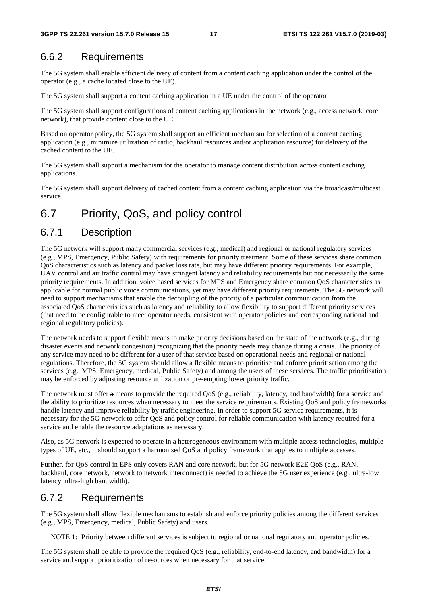#### 6.6.2 Requirements

The 5G system shall enable efficient delivery of content from a content caching application under the control of the operator (e.g., a cache located close to the UE).

The 5G system shall support a content caching application in a UE under the control of the operator.

The 5G system shall support configurations of content caching applications in the network (e.g., access network, core network), that provide content close to the UE.

Based on operator policy, the 5G system shall support an efficient mechanism for selection of a content caching application (e.g., minimize utilization of radio, backhaul resources and/or application resource) for delivery of the cached content to the UE.

The 5G system shall support a mechanism for the operator to manage content distribution across content caching applications.

The 5G system shall support delivery of cached content from a content caching application via the broadcast/multicast service.

### 6.7 Priority, QoS, and policy control

#### 6.7.1 Description

The 5G network will support many commercial services (e.g., medical) and regional or national regulatory services (e.g., MPS, Emergency, Public Safety) with requirements for priority treatment. Some of these services share common QoS characteristics such as latency and packet loss rate, but may have different priority requirements. For example, UAV control and air traffic control may have stringent latency and reliability requirements but not necessarily the same priority requirements. In addition, voice based services for MPS and Emergency share common QoS characteristics as applicable for normal public voice communications, yet may have different priority requirements. The 5G network will need to support mechanisms that enable the decoupling of the priority of a particular communication from the associated QoS characteristics such as latency and reliability to allow flexibility to support different priority services (that need to be configurable to meet operator needs, consistent with operator policies and corresponding national and regional regulatory policies).

The network needs to support flexible means to make priority decisions based on the state of the network (e.g., during disaster events and network congestion) recognizing that the priority needs may change during a crisis. The priority of any service may need to be different for a user of that service based on operational needs and regional or national regulations. Therefore, the 5G system should allow a flexible means to prioritise and enforce prioritisation among the services (e.g., MPS, Emergency, medical, Public Safety) and among the users of these services. The traffic prioritisation may be enforced by adjusting resource utilization or pre-empting lower priority traffic.

The network must offer a means to provide the required QoS (e.g., reliability, latency, and bandwidth) for a service and the ability to prioritize resources when necessary to meet the service requirements. Existing QoS and policy frameworks handle latency and improve reliability by traffic engineering. In order to support 5G service requirements, it is necessary for the 5G network to offer QoS and policy control for reliable communication with latency required for a service and enable the resource adaptations as necessary.

Also, as 5G network is expected to operate in a heterogeneous environment with multiple access technologies, multiple types of UE, etc., it should support a harmonised QoS and policy framework that applies to multiple accesses.

Further, for QoS control in EPS only covers RAN and core network, but for 5G network E2E QoS (e.g., RAN, backhaul, core network, network to network interconnect) is needed to achieve the 5G user experience (e.g., ultra-low latency, ultra-high bandwidth).

#### 6.7.2 Requirements

The 5G system shall allow flexible mechanisms to establish and enforce priority policies among the different services (e.g., MPS, Emergency, medical, Public Safety) and users.

NOTE 1: Priority between different services is subject to regional or national regulatory and operator policies.

The 5G system shall be able to provide the required QoS (e.g., reliability, end-to-end latency, and bandwidth) for a service and support prioritization of resources when necessary for that service.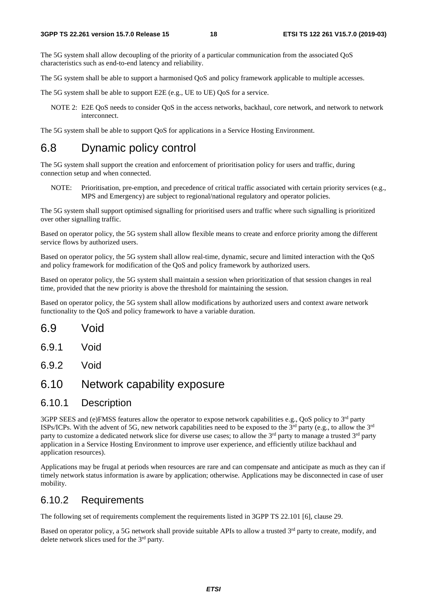The 5G system shall allow decoupling of the priority of a particular communication from the associated QoS characteristics such as end-to-end latency and reliability.

The 5G system shall be able to support a harmonised QoS and policy framework applicable to multiple accesses.

The 5G system shall be able to support E2E (e.g., UE to UE) QoS for a service.

NOTE 2: E2E QoS needs to consider QoS in the access networks, backhaul, core network, and network to network interconnect.

The 5G system shall be able to support QoS for applications in a Service Hosting Environment.

## 6.8 Dynamic policy control

The 5G system shall support the creation and enforcement of prioritisation policy for users and traffic, during connection setup and when connected.

NOTE: Prioritisation, pre-emption, and precedence of critical traffic associated with certain priority services (e.g., MPS and Emergency) are subject to regional/national regulatory and operator policies.

The 5G system shall support optimised signalling for prioritised users and traffic where such signalling is prioritized over other signalling traffic.

Based on operator policy, the 5G system shall allow flexible means to create and enforce priority among the different service flows by authorized users.

Based on operator policy, the 5G system shall allow real-time, dynamic, secure and limited interaction with the QoS and policy framework for modification of the QoS and policy framework by authorized users.

Based on operator policy, the 5G system shall maintain a session when prioritization of that session changes in real time, provided that the new priority is above the threshold for maintaining the session.

Based on operator policy, the 5G system shall allow modifications by authorized users and context aware network functionality to the QoS and policy framework to have a variable duration.

- 6.9.1 Void
- 6.9.2 Void

### 6.10 Network capability exposure

#### 6.10.1 Description

3GPP SEES and (e)FMSS features allow the operator to expose network capabilities e.g., QoS policy to 3<sup>rd</sup> party ISPs/ICPs. With the advent of 5G, new network capabilities need to be exposed to the  $3<sup>rd</sup>$  party (e.g., to allow the  $3<sup>rd</sup>$ party to customize a dedicated network slice for diverse use cases; to allow the 3<sup>rd</sup> party to manage a trusted 3<sup>rd</sup> party application in a Service Hosting Environment to improve user experience, and efficiently utilize backhaul and application resources).

Applications may be frugal at periods when resources are rare and can compensate and anticipate as much as they can if timely network status information is aware by application; otherwise. Applications may be disconnected in case of user mobility.

#### 6.10.2 Requirements

The following set of requirements complement the requirements listed in 3GPP TS 22.101 [6], clause 29.

Based on operator policy, a 5G network shall provide suitable APIs to allow a trusted  $3<sup>rd</sup>$  party to create, modify, and delete network slices used for the 3rd party.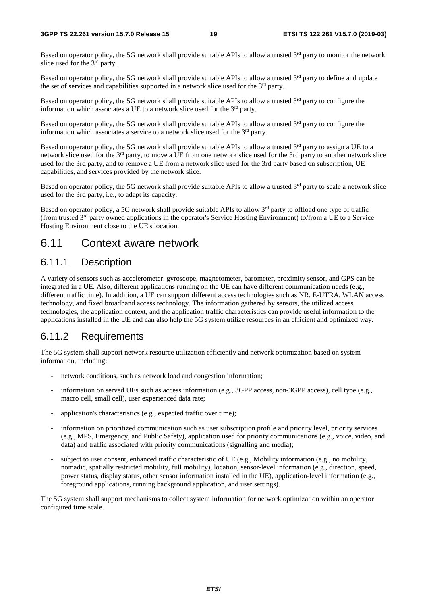Based on operator policy, the 5G network shall provide suitable APIs to allow a trusted 3<sup>rd</sup> party to monitor the network slice used for the 3<sup>rd</sup> party.

Based on operator policy, the 5G network shall provide suitable APIs to allow a trusted 3<sup>rd</sup> party to define and update the set of services and capabilities supported in a network slice used for the  $3<sup>rd</sup>$  party.

Based on operator policy, the 5G network shall provide suitable APIs to allow a trusted  $3<sup>rd</sup>$  party to configure the information which associates a UE to a network slice used for the  $3<sup>rd</sup>$  party.

Based on operator policy, the 5G network shall provide suitable APIs to allow a trusted  $3<sup>rd</sup>$  party to configure the information which associates a service to a network slice used for the 3rd party.

Based on operator policy, the 5G network shall provide suitable APIs to allow a trusted  $3<sup>rd</sup>$  party to assign a UE to a network slice used for the 3rd party, to move a UE from one network slice used for the 3rd party to another network slice used for the 3rd party, and to remove a UE from a network slice used for the 3rd party based on subscription, UE capabilities, and services provided by the network slice.

Based on operator policy, the 5G network shall provide suitable APIs to allow a trusted  $3<sup>rd</sup>$  party to scale a network slice used for the 3rd party, i.e., to adapt its capacity.

Based on operator policy, a 5G network shall provide suitable APIs to allow 3<sup>rd</sup> party to offload one type of traffic (from trusted 3rd party owned applications in the operator's Service Hosting Environment) to/from a UE to a Service Hosting Environment close to the UE's location.

### 6.11 Context aware network

#### 6.11.1 Description

A variety of sensors such as accelerometer, gyroscope, magnetometer, barometer, proximity sensor, and GPS can be integrated in a UE. Also, different applications running on the UE can have different communication needs (e.g., different traffic time). In addition, a UE can support different access technologies such as NR, E-UTRA, WLAN access technology, and fixed broadband access technology. The information gathered by sensors, the utilized access technologies, the application context, and the application traffic characteristics can provide useful information to the applications installed in the UE and can also help the 5G system utilize resources in an efficient and optimized way.

### 6.11.2 Requirements

The 5G system shall support network resource utilization efficiently and network optimization based on system information, including:

- network conditions, such as network load and congestion information;
- information on served UEs such as access information (e.g., 3GPP access, non-3GPP access), cell type (e.g., macro cell, small cell), user experienced data rate;
- application's characteristics (e.g., expected traffic over time);
- information on prioritized communication such as user subscription profile and priority level, priority services (e.g., MPS, Emergency, and Public Safety), application used for priority communications (e.g., voice, video, and data) and traffic associated with priority communications (signalling and media);
- subject to user consent, enhanced traffic characteristic of UE (e.g., Mobility information (e.g., no mobility, nomadic, spatially restricted mobility, full mobility), location, sensor-level information (e.g., direction, speed, power status, display status, other sensor information installed in the UE), application-level information (e.g., foreground applications, running background application, and user settings).

The 5G system shall support mechanisms to collect system information for network optimization within an operator configured time scale.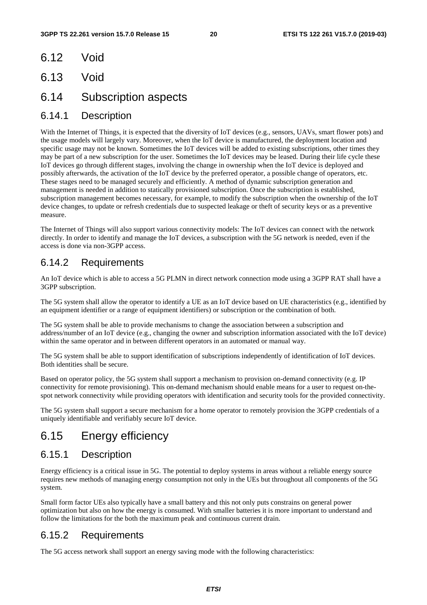- 6.12 Void
- 6.13 Void
- 6.14 Subscription aspects

#### 6.14.1 Description

With the Internet of Things, it is expected that the diversity of IoT devices (e.g., sensors, UAVs, smart flower pots) and the usage models will largely vary. Moreover, when the IoT device is manufactured, the deployment location and specific usage may not be known. Sometimes the IoT devices will be added to existing subscriptions, other times they may be part of a new subscription for the user. Sometimes the IoT devices may be leased. During their life cycle these IoT devices go through different stages, involving the change in ownership when the IoT device is deployed and possibly afterwards, the activation of the IoT device by the preferred operator, a possible change of operators, etc. These stages need to be managed securely and efficiently. A method of dynamic subscription generation and management is needed in addition to statically provisioned subscription. Once the subscription is established, subscription management becomes necessary, for example, to modify the subscription when the ownership of the IoT device changes, to update or refresh credentials due to suspected leakage or theft of security keys or as a preventive measure.

The Internet of Things will also support various connectivity models: The IoT devices can connect with the network directly. In order to identify and manage the IoT devices, a subscription with the 5G network is needed, even if the access is done via non-3GPP access.

### 6.14.2 Requirements

An IoT device which is able to access a 5G PLMN in direct network connection mode using a 3GPP RAT shall have a 3GPP subscription.

The 5G system shall allow the operator to identify a UE as an IoT device based on UE characteristics (e.g., identified by an equipment identifier or a range of equipment identifiers) or subscription or the combination of both.

The 5G system shall be able to provide mechanisms to change the association between a subscription and address/number of an IoT device (e.g., changing the owner and subscription information associated with the IoT device) within the same operator and in between different operators in an automated or manual way.

The 5G system shall be able to support identification of subscriptions independently of identification of IoT devices. Both identities shall be secure.

Based on operator policy, the 5G system shall support a mechanism to provision on-demand connectivity (e.g. IP connectivity for remote provisioning). This on-demand mechanism should enable means for a user to request on-thespot network connectivity while providing operators with identification and security tools for the provided connectivity.

The 5G system shall support a secure mechanism for a home operator to remotely provision the 3GPP credentials of a uniquely identifiable and verifiably secure IoT device.

### 6.15 Energy efficiency

#### 6.15.1 Description

Energy efficiency is a critical issue in 5G. The potential to deploy systems in areas without a reliable energy source requires new methods of managing energy consumption not only in the UEs but throughout all components of the 5G system.

Small form factor UEs also typically have a small battery and this not only puts constrains on general power optimization but also on how the energy is consumed. With smaller batteries it is more important to understand and follow the limitations for the both the maximum peak and continuous current drain.

#### 6.15.2 Requirements

The 5G access network shall support an energy saving mode with the following characteristics: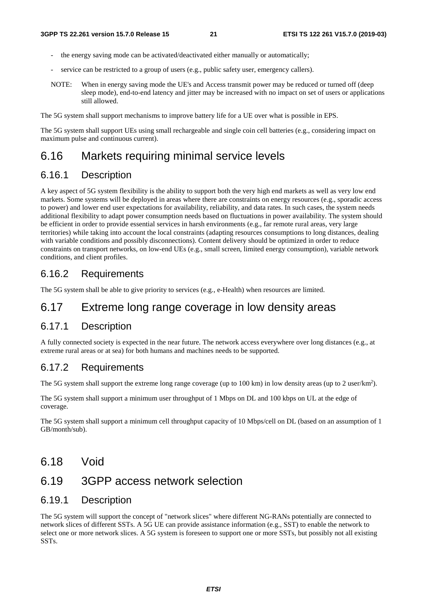- the energy saving mode can be activated/deactivated either manually or automatically:
- service can be restricted to a group of users (e.g., public safety user, emergency callers).
- NOTE: When in energy saving mode the UE's and Access transmit power may be reduced or turned off (deep sleep mode), end-to-end latency and jitter may be increased with no impact on set of users or applications still allowed.

The 5G system shall support mechanisms to improve battery life for a UE over what is possible in EPS.

The 5G system shall support UEs using small rechargeable and single coin cell batteries (e.g., considering impact on maximum pulse and continuous current).

### 6.16 Markets requiring minimal service levels

#### 6.16.1 Description

A key aspect of 5G system flexibility is the ability to support both the very high end markets as well as very low end markets. Some systems will be deployed in areas where there are constraints on energy resources (e.g., sporadic access to power) and lower end user expectations for availability, reliability, and data rates. In such cases, the system needs additional flexibility to adapt power consumption needs based on fluctuations in power availability. The system should be efficient in order to provide essential services in harsh environments (e.g., far remote rural areas, very large territories) while taking into account the local constraints (adapting resources consumptions to long distances, dealing with variable conditions and possibly disconnections). Content delivery should be optimized in order to reduce constraints on transport networks, on low-end UEs (e.g., small screen, limited energy consumption), variable network conditions, and client profiles.

#### 6.16.2 Requirements

The 5G system shall be able to give priority to services (e.g., e-Health) when resources are limited.

### 6.17 Extreme long range coverage in low density areas

#### 6.17.1 Description

A fully connected society is expected in the near future. The network access everywhere over long distances (e.g., at extreme rural areas or at sea) for both humans and machines needs to be supported.

#### 6.17.2 Requirements

The 5G system shall support the extreme long range coverage (up to 100 km) in low density areas (up to 2 user/km<sup>2</sup>).

The 5G system shall support a minimum user throughput of 1 Mbps on DL and 100 kbps on UL at the edge of coverage.

The 5G system shall support a minimum cell throughput capacity of 10 Mbps/cell on DL (based on an assumption of 1 GB/month/sub).

6.18 Void

### 6.19 3GPP access network selection

#### 6.19.1 Description

The 5G system will support the concept of "network slices" where different NG-RANs potentially are connected to network slices of different SSTs. A 5G UE can provide assistance information (e.g., SST) to enable the network to select one or more network slices. A 5G system is foreseen to support one or more SSTs, but possibly not all existing SSTs.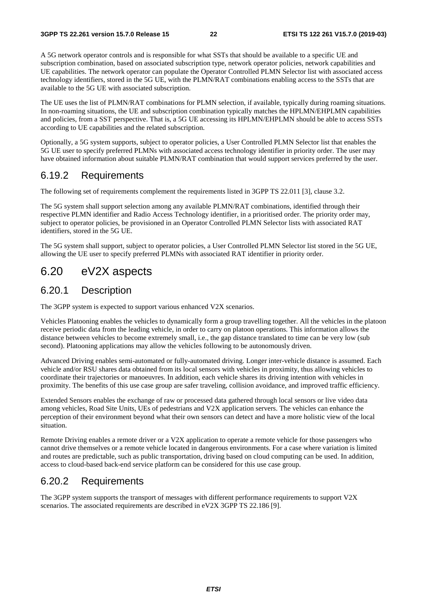A 5G network operator controls and is responsible for what SSTs that should be available to a specific UE and subscription combination, based on associated subscription type, network operator policies, network capabilities and UE capabilities. The network operator can populate the Operator Controlled PLMN Selector list with associated access technology identifiers, stored in the 5G UE, with the PLMN/RAT combinations enabling access to the SSTs that are available to the 5G UE with associated subscription.

The UE uses the list of PLMN/RAT combinations for PLMN selection, if available, typically during roaming situations. In non-roaming situations, the UE and subscription combination typically matches the HPLMN/EHPLMN capabilities and policies, from a SST perspective. That is, a 5G UE accessing its HPLMN/EHPLMN should be able to access SSTs according to UE capabilities and the related subscription.

Optionally, a 5G system supports, subject to operator policies, a User Controlled PLMN Selector list that enables the 5G UE user to specify preferred PLMNs with associated access technology identifier in priority order. The user may have obtained information about suitable PLMN/RAT combination that would support services preferred by the user.

#### 6.19.2 Requirements

The following set of requirements complement the requirements listed in 3GPP TS 22.011 [3], clause 3.2.

The 5G system shall support selection among any available PLMN/RAT combinations, identified through their respective PLMN identifier and Radio Access Technology identifier, in a prioritised order. The priority order may, subject to operator policies, be provisioned in an Operator Controlled PLMN Selector lists with associated RAT identifiers, stored in the 5G UE.

The 5G system shall support, subject to operator policies, a User Controlled PLMN Selector list stored in the 5G UE, allowing the UE user to specify preferred PLMNs with associated RAT identifier in priority order.

### 6.20 eV2X aspects

#### 6.20.1 Description

The 3GPP system is expected to support various enhanced V2X scenarios.

Vehicles Platooning enables the vehicles to dynamically form a group travelling together. All the vehicles in the platoon receive periodic data from the leading vehicle, in order to carry on platoon operations. This information allows the distance between vehicles to become extremely small, i.e., the gap distance translated to time can be very low (sub second). Platooning applications may allow the vehicles following to be autonomously driven.

Advanced Driving enables semi-automated or fully-automated driving. Longer inter-vehicle distance is assumed. Each vehicle and/or RSU shares data obtained from its local sensors with vehicles in proximity, thus allowing vehicles to coordinate their trajectories or manoeuvres. In addition, each vehicle shares its driving intention with vehicles in proximity. The benefits of this use case group are safer traveling, collision avoidance, and improved traffic efficiency.

Extended Sensors enables the exchange of raw or processed data gathered through local sensors or live video data among vehicles, Road Site Units, UEs of pedestrians and V2X application servers. The vehicles can enhance the perception of their environment beyond what their own sensors can detect and have a more holistic view of the local situation.

Remote Driving enables a remote driver or a V2X application to operate a remote vehicle for those passengers who cannot drive themselves or a remote vehicle located in dangerous environments. For a case where variation is limited and routes are predictable, such as public transportation, driving based on cloud computing can be used. In addition, access to cloud-based back-end service platform can be considered for this use case group.

### 6.20.2 Requirements

The 3GPP system supports the transport of messages with different performance requirements to support V2X scenarios. The associated requirements are described in eV2X 3GPP TS 22.186 [9].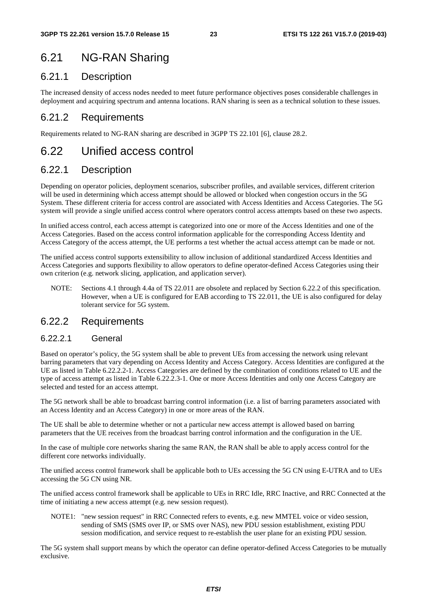## 6.21 NG-RAN Sharing

### 6.21.1 Description

The increased density of access nodes needed to meet future performance objectives poses considerable challenges in deployment and acquiring spectrum and antenna locations. RAN sharing is seen as a technical solution to these issues.

### 6.21.2 Requirements

Requirements related to NG-RAN sharing are described in 3GPP TS 22.101 [6], clause 28.2.

### 6.22 Unified access control

### 6.22.1 Description

Depending on operator policies, deployment scenarios, subscriber profiles, and available services, different criterion will be used in determining which access attempt should be allowed or blocked when congestion occurs in the 5G System. These different criteria for access control are associated with Access Identities and Access Categories. The 5G system will provide a single unified access control where operators control access attempts based on these two aspects.

In unified access control, each access attempt is categorized into one or more of the Access Identities and one of the Access Categories. Based on the access control information applicable for the corresponding Access Identity and Access Category of the access attempt, the UE performs a test whether the actual access attempt can be made or not.

The unified access control supports extensibility to allow inclusion of additional standardized Access Identities and Access Categories and supports flexibility to allow operators to define operator-defined Access Categories using their own criterion (e.g. network slicing, application, and application server).

NOTE: Sections 4.1 through 4.4a of TS 22.011 are obsolete and replaced by Section 6.22.2 of this specification. However, when a UE is configured for EAB according to TS 22.011, the UE is also configured for delay tolerant service for 5G system.

#### 6.22.2 Requirements

#### 6.22.2.1 General

Based on operator's policy, the 5G system shall be able to prevent UEs from accessing the network using relevant barring parameters that vary depending on Access Identity and Access Category. Access Identities are configured at the UE as listed in Table 6.22.2.2-1. Access Categories are defined by the combination of conditions related to UE and the type of access attempt as listed in Table 6.22.2.3-1. One or more Access Identities and only one Access Category are selected and tested for an access attempt.

The 5G network shall be able to broadcast barring control information (i.e. a list of barring parameters associated with an Access Identity and an Access Category) in one or more areas of the RAN.

The UE shall be able to determine whether or not a particular new access attempt is allowed based on barring parameters that the UE receives from the broadcast barring control information and the configuration in the UE.

In the case of multiple core networks sharing the same RAN, the RAN shall be able to apply access control for the different core networks individually.

The unified access control framework shall be applicable both to UEs accessing the 5G CN using E-UTRA and to UEs accessing the 5G CN using NR.

The unified access control framework shall be applicable to UEs in RRC Idle, RRC Inactive, and RRC Connected at the time of initiating a new access attempt (e.g. new session request).

NOTE1: "new session request" in RRC Connected refers to events, e.g. new MMTEL voice or video session, sending of SMS (SMS over IP, or SMS over NAS), new PDU session establishment, existing PDU session modification, and service request to re-establish the user plane for an existing PDU session.

The 5G system shall support means by which the operator can define operator-defined Access Categories to be mutually exclusive.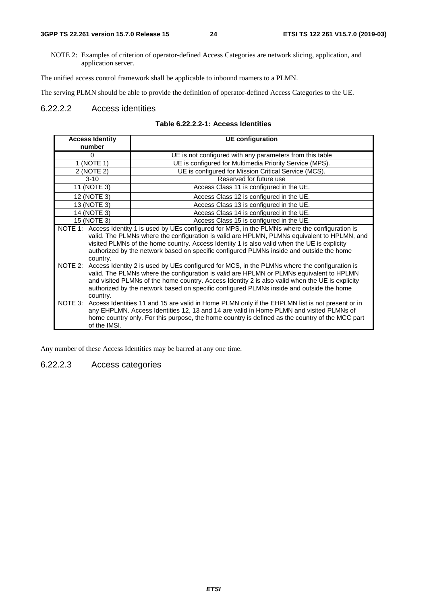NOTE 2: Examples of criterion of operator-defined Access Categories are network slicing, application, and application server.

The unified access control framework shall be applicable to inbound roamers to a PLMN.

The serving PLMN should be able to provide the definition of operator-defined Access Categories to the UE.

#### 6.22.2.2 Access identities

| <b>Access Identity</b> | <b>UE</b> configuration                                                                                                                                                                                                                                                                                                                                                                         |
|------------------------|-------------------------------------------------------------------------------------------------------------------------------------------------------------------------------------------------------------------------------------------------------------------------------------------------------------------------------------------------------------------------------------------------|
| number                 |                                                                                                                                                                                                                                                                                                                                                                                                 |
| 0                      | UE is not configured with any parameters from this table                                                                                                                                                                                                                                                                                                                                        |
| 1 (NOTE 1)             | UE is configured for Multimedia Priority Service (MPS).                                                                                                                                                                                                                                                                                                                                         |
| 2 (NOTE 2)             | UE is configured for Mission Critical Service (MCS).                                                                                                                                                                                                                                                                                                                                            |
| $3 - 10$               | Reserved for future use                                                                                                                                                                                                                                                                                                                                                                         |
| 11 (NOTE 3)            | Access Class 11 is configured in the UE.                                                                                                                                                                                                                                                                                                                                                        |
| 12 (NOTE 3)            | Access Class 12 is configured in the UE.                                                                                                                                                                                                                                                                                                                                                        |
| 13 (NOTE 3)            | Access Class 13 is configured in the UE.                                                                                                                                                                                                                                                                                                                                                        |
| 14 (NOTE 3)            | Access Class 14 is configured in the UE.                                                                                                                                                                                                                                                                                                                                                        |
| 15 (NOTE 3)            | Access Class 15 is configured in the UE.                                                                                                                                                                                                                                                                                                                                                        |
| country.               | NOTE 1: Access Identity 1 is used by UEs configured for MPS, in the PLMNs where the configuration is<br>valid. The PLMNs where the configuration is valid are HPLMN, PLMNs equivalent to HPLMN, and<br>visited PLMNs of the home country. Access Identity 1 is also valid when the UE is explicity<br>authorized by the network based on specific configured PLMNs inside and outside the home  |
| country.               | NOTE 2: Access Identity 2 is used by UEs configured for MCS, in the PLMNs where the configuration is<br>valid. The PLMNs where the configuration is valid are HPLMN or PLMNs equivalent to HPLMN<br>and visited PLMNs of the home country. Access Identity 2 is also valid when the UE is explicity<br>authorized by the network based on specific configured PLMNs inside and outside the home |
| of the IMSI.           | NOTE 3: Access Identities 11 and 15 are valid in Home PLMN only if the EHPLMN list is not present or in<br>any EHPLMN. Access Identities 12, 13 and 14 are valid in Home PLMN and visited PLMNs of<br>home country only. For this purpose, the home country is defined as the country of the MCC part                                                                                           |

#### **Table 6.22.2.2-1: Access Identities**

Any number of these Access Identities may be barred at any one time.

#### 6.22.2.3 Access categories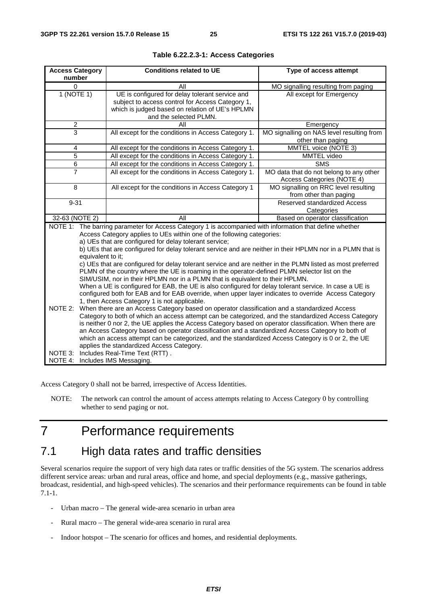| <b>Access Category</b><br>number                                                                                                                                                                                                                                                                                                                                                                                                                                                                                                                                                                                                                                                                                                                                                                                                                                                                                                                                                                                                                                                                                                                                                                                                                                                                                                                                                                                                                                                                                                       | <b>Conditions related to UE</b>                                                                                                                                                  | Type of access attempt                                                |  |  |
|----------------------------------------------------------------------------------------------------------------------------------------------------------------------------------------------------------------------------------------------------------------------------------------------------------------------------------------------------------------------------------------------------------------------------------------------------------------------------------------------------------------------------------------------------------------------------------------------------------------------------------------------------------------------------------------------------------------------------------------------------------------------------------------------------------------------------------------------------------------------------------------------------------------------------------------------------------------------------------------------------------------------------------------------------------------------------------------------------------------------------------------------------------------------------------------------------------------------------------------------------------------------------------------------------------------------------------------------------------------------------------------------------------------------------------------------------------------------------------------------------------------------------------------|----------------------------------------------------------------------------------------------------------------------------------------------------------------------------------|-----------------------------------------------------------------------|--|--|
| 0                                                                                                                                                                                                                                                                                                                                                                                                                                                                                                                                                                                                                                                                                                                                                                                                                                                                                                                                                                                                                                                                                                                                                                                                                                                                                                                                                                                                                                                                                                                                      | All                                                                                                                                                                              | MO signalling resulting from paging                                   |  |  |
| 1 (NOTE 1)                                                                                                                                                                                                                                                                                                                                                                                                                                                                                                                                                                                                                                                                                                                                                                                                                                                                                                                                                                                                                                                                                                                                                                                                                                                                                                                                                                                                                                                                                                                             | UE is configured for delay tolerant service and<br>subject to access control for Access Category 1,<br>which is judged based on relation of UE's HPLMN<br>and the selected PLMN. | All except for Emergency                                              |  |  |
| $\overline{c}$                                                                                                                                                                                                                                                                                                                                                                                                                                                                                                                                                                                                                                                                                                                                                                                                                                                                                                                                                                                                                                                                                                                                                                                                                                                                                                                                                                                                                                                                                                                         | All                                                                                                                                                                              | Emergency                                                             |  |  |
| 3                                                                                                                                                                                                                                                                                                                                                                                                                                                                                                                                                                                                                                                                                                                                                                                                                                                                                                                                                                                                                                                                                                                                                                                                                                                                                                                                                                                                                                                                                                                                      | All except for the conditions in Access Category 1.                                                                                                                              | MO signalling on NAS level resulting from<br>other than paging        |  |  |
| 4                                                                                                                                                                                                                                                                                                                                                                                                                                                                                                                                                                                                                                                                                                                                                                                                                                                                                                                                                                                                                                                                                                                                                                                                                                                                                                                                                                                                                                                                                                                                      | All except for the conditions in Access Category 1.                                                                                                                              | MMTEL voice (NOTE 3)                                                  |  |  |
| 5                                                                                                                                                                                                                                                                                                                                                                                                                                                                                                                                                                                                                                                                                                                                                                                                                                                                                                                                                                                                                                                                                                                                                                                                                                                                                                                                                                                                                                                                                                                                      | All except for the conditions in Access Category 1.                                                                                                                              | MMTEL video                                                           |  |  |
| $\,6$                                                                                                                                                                                                                                                                                                                                                                                                                                                                                                                                                                                                                                                                                                                                                                                                                                                                                                                                                                                                                                                                                                                                                                                                                                                                                                                                                                                                                                                                                                                                  | All except for the conditions in Access Category 1.                                                                                                                              | <b>SMS</b>                                                            |  |  |
| $\overline{7}$                                                                                                                                                                                                                                                                                                                                                                                                                                                                                                                                                                                                                                                                                                                                                                                                                                                                                                                                                                                                                                                                                                                                                                                                                                                                                                                                                                                                                                                                                                                         | All except for the conditions in Access Category 1.                                                                                                                              | MO data that do not belong to any other<br>Access Categories (NOTE 4) |  |  |
| 8                                                                                                                                                                                                                                                                                                                                                                                                                                                                                                                                                                                                                                                                                                                                                                                                                                                                                                                                                                                                                                                                                                                                                                                                                                                                                                                                                                                                                                                                                                                                      | All except for the conditions in Access Category 1                                                                                                                               | MO signalling on RRC level resulting<br>from other than paging        |  |  |
| $9 - 31$                                                                                                                                                                                                                                                                                                                                                                                                                                                                                                                                                                                                                                                                                                                                                                                                                                                                                                                                                                                                                                                                                                                                                                                                                                                                                                                                                                                                                                                                                                                               |                                                                                                                                                                                  | Reserved standardized Access<br>Categories                            |  |  |
| 32-63 (NOTE 2)                                                                                                                                                                                                                                                                                                                                                                                                                                                                                                                                                                                                                                                                                                                                                                                                                                                                                                                                                                                                                                                                                                                                                                                                                                                                                                                                                                                                                                                                                                                         | All                                                                                                                                                                              | Based on operator classification                                      |  |  |
| NOTE 1: The barring parameter for Access Category 1 is accompanied with information that define whether<br>Access Category applies to UEs within one of the following categories:<br>a) UEs that are configured for delay tolerant service;<br>b) UEs that are configured for delay tolerant service and are neither in their HPLMN nor in a PLMN that is<br>equivalent to it;<br>c) UEs that are configured for delay tolerant service and are neither in the PLMN listed as most preferred<br>PLMN of the country where the UE is roaming in the operator-defined PLMN selector list on the<br>SIM/USIM, nor in their HPLMN nor in a PLMN that is equivalent to their HPLMN.<br>When a UE is configured for EAB, the UE is also configured for delay tolerant service. In case a UE is<br>configured both for EAB and for EAB override, when upper layer indicates to override Access Category<br>1, then Access Category 1 is not applicable.<br>NOTE 2:<br>When there are an Access Category based on operator classification and a standardized Access<br>Category to both of which an access attempt can be categorized, and the standardized Access Category<br>is neither 0 nor 2, the UE applies the Access Category based on operator classification. When there are<br>an Access Category based on operator classification and a standardized Access Category to both of<br>which an access attempt can be categorized, and the standardized Access Category is 0 or 2, the UE<br>applies the standardized Access Category. |                                                                                                                                                                                  |                                                                       |  |  |
| NOTE 3:<br>NOTE 4:                                                                                                                                                                                                                                                                                                                                                                                                                                                                                                                                                                                                                                                                                                                                                                                                                                                                                                                                                                                                                                                                                                                                                                                                                                                                                                                                                                                                                                                                                                                     | Includes Real-Time Text (RTT).<br>Includes IMS Messaging.                                                                                                                        |                                                                       |  |  |

#### **Table 6.22.2.3-1: Access Categories**

Access Category 0 shall not be barred, irrespective of Access Identities.

NOTE: The network can control the amount of access attempts relating to Access Category 0 by controlling whether to send paging or not.

## 7 Performance requirements

### 7.1 High data rates and traffic densities

Several scenarios require the support of very high data rates or traffic densities of the 5G system. The scenarios address different service areas: urban and rural areas, office and home, and special deployments (e.g., massive gatherings, broadcast, residential, and high-speed vehicles). The scenarios and their performance requirements can be found in table 7.1-1.

- Urban macro The general wide-area scenario in urban area
- Rural macro The general wide-area scenario in rural area
- Indoor hotspot The scenario for offices and homes, and residential deployments.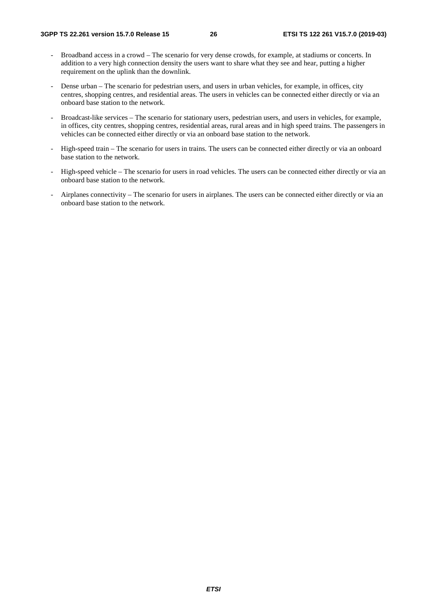- Broadband access in a crowd The scenario for very dense crowds, for example, at stadiums or concerts. In addition to a very high connection density the users want to share what they see and hear, putting a higher requirement on the uplink than the downlink.
- Dense urban The scenario for pedestrian users, and users in urban vehicles, for example, in offices, city centres, shopping centres, and residential areas. The users in vehicles can be connected either directly or via an onboard base station to the network.
- Broadcast-like services The scenario for stationary users, pedestrian users, and users in vehicles, for example, in offices, city centres, shopping centres, residential areas, rural areas and in high speed trains. The passengers in vehicles can be connected either directly or via an onboard base station to the network.
- High-speed train The scenario for users in trains. The users can be connected either directly or via an onboard base station to the network.
- High-speed vehicle The scenario for users in road vehicles. The users can be connected either directly or via an onboard base station to the network.
- Airplanes connectivity The scenario for users in airplanes. The users can be connected either directly or via an onboard base station to the network.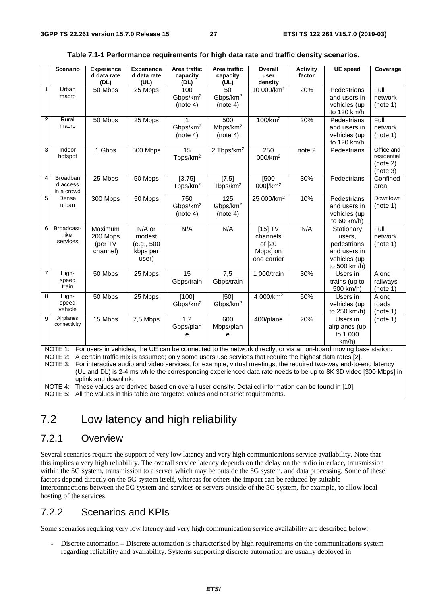|              | <b>Scenario</b>                                                                                           | <b>Experience</b>    | <b>Experience</b>   | Area traffic         | Area traffic           | Overall                                                                                                         | <b>Activity</b>   | <b>UE</b> speed                                                                                                          | Coverage    |
|--------------|-----------------------------------------------------------------------------------------------------------|----------------------|---------------------|----------------------|------------------------|-----------------------------------------------------------------------------------------------------------------|-------------------|--------------------------------------------------------------------------------------------------------------------------|-------------|
|              |                                                                                                           | d data rate<br>(DL)  | d data rate<br>(UL) | capacity<br>(DL)     | capacity<br>(UL)       | user<br>density                                                                                                 | factor            |                                                                                                                          |             |
| $\mathbf{1}$ | Urban                                                                                                     | 50 Mbps              | 25 Mbps             | 100                  | 50                     | 10 000/km <sup>2</sup>                                                                                          | 20%               | Pedestrians                                                                                                              | Full        |
|              | macro                                                                                                     |                      |                     | Gbps/km <sup>2</sup> | Gbps/km <sup>2</sup>   |                                                                                                                 |                   | and users in                                                                                                             | network     |
|              |                                                                                                           |                      |                     | (note 4)             | (note 4)               |                                                                                                                 |                   | vehicles (up                                                                                                             | (note 1)    |
|              |                                                                                                           |                      |                     |                      |                        |                                                                                                                 |                   | to 120 km/h                                                                                                              |             |
| $\mathbf{2}$ | Rural                                                                                                     | 50 Mbps              | 25 Mbps             | 1                    | 500                    | 100/km <sup>2</sup>                                                                                             | 20%               | Pedestrians                                                                                                              | Full        |
|              | macro                                                                                                     |                      |                     | Gbps/km <sup>2</sup> | Mbps/km <sup>2</sup>   |                                                                                                                 |                   | and users in                                                                                                             | network     |
|              |                                                                                                           |                      |                     | (note 4)             | (note 4)               |                                                                                                                 |                   | vehicles (up                                                                                                             | (note 1)    |
|              |                                                                                                           |                      |                     |                      |                        |                                                                                                                 |                   | to 120 km/h                                                                                                              |             |
| 3            | Indoor                                                                                                    | 1 Gbps               | 500 Mbps            | 15                   | 2 Tbps/km <sup>2</sup> | $\overline{250}$                                                                                                | note <sub>2</sub> | Pedestrians                                                                                                              | Office and  |
|              | hotspot                                                                                                   |                      |                     | Tbps/km <sup>2</sup> |                        | 000/km <sup>2</sup>                                                                                             |                   |                                                                                                                          | residential |
|              |                                                                                                           |                      |                     |                      |                        |                                                                                                                 |                   |                                                                                                                          | (note 2)    |
|              |                                                                                                           |                      |                     |                      |                        |                                                                                                                 |                   |                                                                                                                          | (note 3)    |
| 4            | Broadban                                                                                                  | 25 Mbps              | 50 Mbps             | [3, 75]              | [7,5]                  | [500]                                                                                                           | 30%               | Pedestrians                                                                                                              | Confined    |
|              | d access                                                                                                  |                      |                     | Tbps/km <sup>2</sup> | Tbps/km <sup>2</sup>   | 000]/km <sup>2</sup>                                                                                            |                   |                                                                                                                          | area        |
|              | in a crowd                                                                                                |                      |                     |                      |                        |                                                                                                                 |                   |                                                                                                                          |             |
| 5            | Dense<br>urban                                                                                            | 300 Mbps             | 50 Mbps             | 750                  | 125                    | 25 000/km <sup>2</sup>                                                                                          | 10%               | Pedestrians                                                                                                              | Downtown    |
|              |                                                                                                           |                      |                     | Gbps/km <sup>2</sup> | Gbps/km <sup>2</sup>   |                                                                                                                 |                   | and users in                                                                                                             | (note 1)    |
|              |                                                                                                           |                      |                     | (note 4)             | (note 4)               |                                                                                                                 |                   | vehicles (up                                                                                                             |             |
| 6            | Broadcast-                                                                                                |                      |                     |                      |                        |                                                                                                                 |                   | to $60 \text{ km/h}$                                                                                                     | Full        |
|              | like                                                                                                      | Maximum              | N/A or              | N/A                  | N/A                    | $[15]$ TV                                                                                                       | N/A               | Stationary                                                                                                               |             |
|              | services                                                                                                  | 200 Mbps             | modest              |                      |                        | channels                                                                                                        |                   | users,                                                                                                                   | network     |
|              |                                                                                                           | (per TV              | (e.g., 500          |                      |                        | of [20                                                                                                          |                   | pedestrians                                                                                                              | (note 1)    |
|              |                                                                                                           | channel)             | kbps per            |                      |                        | Mbps] on                                                                                                        |                   | and users in                                                                                                             |             |
|              |                                                                                                           |                      | user)               |                      |                        | one carrier                                                                                                     |                   | vehicles (up<br>to 500 km/h)                                                                                             |             |
| 7            | High-                                                                                                     | 50 Mbps              | 25 Mbps             | $\overline{15}$      | 7,5                    | 1 000/train                                                                                                     | 30%               | Users in                                                                                                                 | Along       |
|              | speed                                                                                                     |                      |                     | Gbps/train           | Gbps/train             |                                                                                                                 |                   | trains (up to                                                                                                            | railways    |
|              | train                                                                                                     |                      |                     |                      |                        |                                                                                                                 |                   | 500 km/h)                                                                                                                | (note 1)    |
| 8            | High-                                                                                                     | 50 Mbps              | 25 Mbps             | [100]                | $[50]$                 | 4 000/km <sup>2</sup>                                                                                           | 50%               | Users in                                                                                                                 | Along       |
|              | speed                                                                                                     |                      |                     | Gbps/km <sup>2</sup> | Gbps/km <sup>2</sup>   |                                                                                                                 |                   | vehicles (up                                                                                                             | roads       |
|              | vehicle                                                                                                   |                      |                     |                      |                        |                                                                                                                 |                   | to 250 km/h)                                                                                                             | (note 1)    |
| 9            | Airplanes                                                                                                 | 15 Mbps              | 7,5 Mbps            | 1,2                  | 600                    | 400/plane                                                                                                       | 20%               | Users in                                                                                                                 | (note 1)    |
|              | connectivity                                                                                              |                      |                     | Gbps/plan            | Mbps/plan              |                                                                                                                 |                   | airplanes (up                                                                                                            |             |
|              |                                                                                                           |                      |                     | e                    | е                      |                                                                                                                 |                   | to 1 000                                                                                                                 |             |
|              |                                                                                                           |                      |                     |                      |                        |                                                                                                                 |                   | km/h)                                                                                                                    |             |
|              |                                                                                                           |                      |                     |                      |                        |                                                                                                                 |                   | NOTE 1: For users in vehicles, the UE can be connected to the network directly, or via an on-board moving base station.  |             |
|              |                                                                                                           |                      |                     |                      |                        | NOTE 2: A certain traffic mix is assumed; only some users use services that require the highest data rates [2]. |                   |                                                                                                                          |             |
|              |                                                                                                           |                      |                     |                      |                        |                                                                                                                 |                   | NOTE 3: For interactive audio and video services, for example, virtual meetings, the required two-way end-to-end latency |             |
|              |                                                                                                           |                      |                     |                      |                        |                                                                                                                 |                   | (UL and DL) is 2-4 ms while the corresponding experienced data rate needs to be up to 8K 3D video [300 Mbps] in          |             |
|              |                                                                                                           | uplink and downlink. |                     |                      |                        |                                                                                                                 |                   |                                                                                                                          |             |
|              | NOTE 4: These values are derived based on overall user density. Detailed information can be found in [10] |                      |                     |                      |                        |                                                                                                                 |                   |                                                                                                                          |             |

#### **Table 7.1-1 Performance requirements for high data rate and traffic density scenarios.**

density. Detailed information can be found in [10].

NOTE 5: All the values in this table are targeted values and not strict requirements.

### 7.2 Low latency and high reliability

#### 7.2.1 Overview

Several scenarios require the support of very low latency and very high communications service availability. Note that this implies a very high reliability. The overall service latency depends on the delay on the radio interface, transmission within the 5G system, transmission to a server which may be outside the 5G system, and data processing. Some of these factors depend directly on the 5G system itself, whereas for others the impact can be reduced by suitable interconnections between the 5G system and services or servers outside of the 5G system, for example, to allow local hosting of the services.

#### 7.2.2 Scenarios and KPIs

Some scenarios requiring very low latency and very high communication service availability are described below:

- Discrete automation – Discrete automation is characterised by high requirements on the communications system regarding reliability and availability. Systems supporting discrete automation are usually deployed in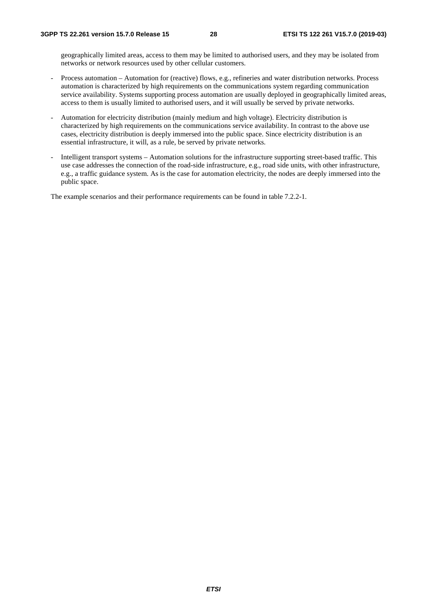geographically limited areas, access to them may be limited to authorised users, and they may be isolated from networks or network resources used by other cellular customers.

- Process automation Automation for (reactive) flows, e.g., refineries and water distribution networks. Process automation is characterized by high requirements on the communications system regarding communication service availability. Systems supporting process automation are usually deployed in geographically limited areas, access to them is usually limited to authorised users, and it will usually be served by private networks.
- Automation for electricity distribution (mainly medium and high voltage). Electricity distribution is characterized by high requirements on the communications service availability. In contrast to the above use cases, electricity distribution is deeply immersed into the public space. Since electricity distribution is an essential infrastructure, it will, as a rule, be served by private networks.
- Intelligent transport systems Automation solutions for the infrastructure supporting street-based traffic. This use case addresses the connection of the road-side infrastructure, e.g., road side units, with other infrastructure, e.g., a traffic guidance system. As is the case for automation electricity, the nodes are deeply immersed into the public space.

The example scenarios and their performance requirements can be found in table 7.2.2-1.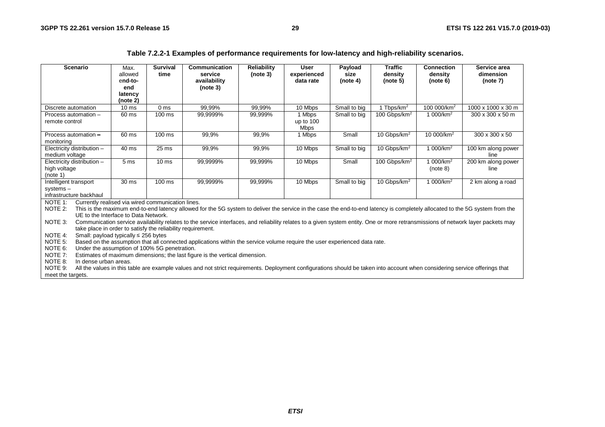| Table 7.2.2-1 Examples of performance requirements for low-latency and high-reliability scenarios. |  |  |  |  |  |
|----------------------------------------------------------------------------------------------------|--|--|--|--|--|
|----------------------------------------------------------------------------------------------------|--|--|--|--|--|

| <b>Scenario</b>                          |                                                                                                                                      | Max.<br>allowed                           | <b>Survival</b><br>time                                     | Communication<br>service                                                                                                                                                         | <b>Reliability</b><br>(note 3) | <b>User</b><br>experienced | Payload<br>size | <b>Traffic</b><br>density | <b>Connection</b><br>density | Service area<br>dimension |
|------------------------------------------|--------------------------------------------------------------------------------------------------------------------------------------|-------------------------------------------|-------------------------------------------------------------|----------------------------------------------------------------------------------------------------------------------------------------------------------------------------------|--------------------------------|----------------------------|-----------------|---------------------------|------------------------------|---------------------------|
|                                          |                                                                                                                                      | end-to-<br>end                            |                                                             | availability<br>(note 3)                                                                                                                                                         |                                | data rate                  | (note 4)        | (note 5)                  | (note 6)                     | (note 7)                  |
|                                          |                                                                                                                                      | latency                                   |                                                             |                                                                                                                                                                                  |                                |                            |                 |                           |                              |                           |
|                                          |                                                                                                                                      | (note 2)                                  |                                                             |                                                                                                                                                                                  |                                |                            |                 |                           |                              |                           |
| Discrete automation                      |                                                                                                                                      | 10 <sub>ms</sub>                          | 0 <sub>ms</sub>                                             | 99,99%                                                                                                                                                                           | 99,99%                         | 10 Mbps                    | Small to big    | 1 Tbps/km <sup>2</sup>    | 100 000/km <sup>2</sup>      | 1000 x 1000 x 30 m        |
| Process automation -                     |                                                                                                                                      | 60 ms                                     | $100 \text{ ms}$                                            | 99.9999%                                                                                                                                                                         | 99,999%                        | 1 Mbps                     | Small to big    | 100 Gbps/km <sup>2</sup>  | 1 000/km <sup>2</sup>        | 300 x 300 x 50 m          |
| remote control                           |                                                                                                                                      |                                           |                                                             |                                                                                                                                                                                  |                                | up to $100$<br><b>Mbps</b> |                 |                           |                              |                           |
| Process automation -                     |                                                                                                                                      | 60 ms                                     | 100 ms                                                      | 99,9%                                                                                                                                                                            | 99,9%                          | 1 Mbps                     | Small           | 10 Gbps/km <sup>2</sup>   | 10 000/km <sup>2</sup>       | 300 x 300 x 50            |
| monitoring<br>Electricity distribution - |                                                                                                                                      | 40 ms                                     | 25 <sub>ms</sub>                                            | 99,9%                                                                                                                                                                            | 99,9%                          | 10 Mbps                    | Small to big    | 10 Gbps/km <sup>2</sup>   | 1 000/km <sup>2</sup>        | 100 km along power        |
| medium voltage                           |                                                                                                                                      |                                           |                                                             |                                                                                                                                                                                  |                                |                            |                 |                           |                              | line                      |
| Electricity distribution -               |                                                                                                                                      | 5 <sub>ms</sub>                           | 10 <sub>ms</sub>                                            | 99,9999%                                                                                                                                                                         | 99,999%                        | 10 Mbps                    | Small           | 100 Gbps/km <sup>2</sup>  | 1 000/km <sup>2</sup>        | 200 km along power        |
| high voltage                             |                                                                                                                                      |                                           |                                                             |                                                                                                                                                                                  |                                |                            |                 |                           | (note 8)                     | line                      |
| (note 1)                                 |                                                                                                                                      |                                           |                                                             |                                                                                                                                                                                  |                                |                            |                 |                           |                              |                           |
| Intelligent transport                    |                                                                                                                                      | 30 <sub>ms</sub>                          | $100 \text{ ms}$                                            | 99,9999%                                                                                                                                                                         | 99,999%                        | 10 Mbps                    | Small to big    | 10 Gbps/km <sup>2</sup>   | 1 000/km <sup>2</sup>        | 2 km along a road         |
| systems-<br>infrastructure backhaul      |                                                                                                                                      |                                           |                                                             |                                                                                                                                                                                  |                                |                            |                 |                           |                              |                           |
| NOTE 1:                                  |                                                                                                                                      |                                           | Currently realised via wired communication lines.           |                                                                                                                                                                                  |                                |                            |                 |                           |                              |                           |
| NOTE 2:                                  |                                                                                                                                      |                                           |                                                             | This is the maximum end-to-end latency allowed for the 5G system to deliver the service in the case the end-to-end latency is completely allocated to the 5G system from the     |                                |                            |                 |                           |                              |                           |
|                                          |                                                                                                                                      | UE to the Interface to Data Network.      |                                                             |                                                                                                                                                                                  |                                |                            |                 |                           |                              |                           |
| NOTE 3:                                  |                                                                                                                                      |                                           |                                                             | Communication service availability relates to the service interfaces, and reliability relates to a given system entity. One or more retransmissions of network layer packets may |                                |                            |                 |                           |                              |                           |
|                                          |                                                                                                                                      |                                           | take place in order to satisfy the reliability requirement. |                                                                                                                                                                                  |                                |                            |                 |                           |                              |                           |
| NOTE 4:                                  |                                                                                                                                      | Small: payload typically $\leq$ 256 bytes |                                                             |                                                                                                                                                                                  |                                |                            |                 |                           |                              |                           |
|                                          | NOTE 5:<br>Based on the assumption that all connected applications within the service volume require the user experienced data rate. |                                           |                                                             |                                                                                                                                                                                  |                                |                            |                 |                           |                              |                           |
|                                          | NOTE 6:<br>Under the assumption of 100% 5G penetration.                                                                              |                                           |                                                             |                                                                                                                                                                                  |                                |                            |                 |                           |                              |                           |
|                                          | NOTE 7:<br>Estimates of maximum dimensions; the last figure is the vertical dimension.                                               |                                           |                                                             |                                                                                                                                                                                  |                                |                            |                 |                           |                              |                           |
| NOTE 8:                                  | In dense urban areas.                                                                                                                |                                           |                                                             |                                                                                                                                                                                  |                                |                            |                 |                           |                              |                           |
| NOTE 9:<br>meet the targets.             |                                                                                                                                      |                                           |                                                             | All the values in this table are example values and not strict requirements. Deployment configurations should be taken into account when considering service offerings that      |                                |                            |                 |                           |                              |                           |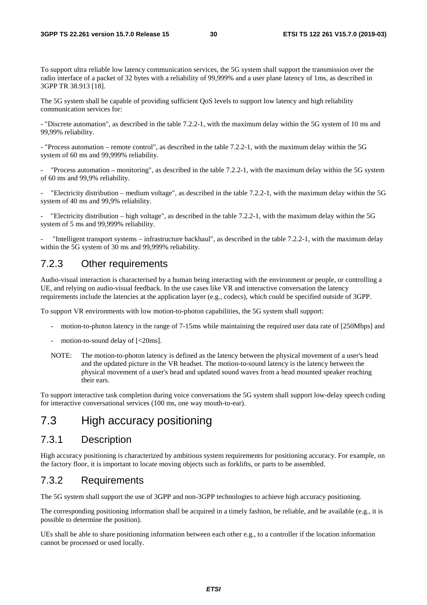To support ultra reliable low latency communication services, the 5G system shall support the transmission over the radio interface of a packet of 32 bytes with a reliability of 99,999% and a user plane latency of 1ms, as described in 3GPP TR 38.913 [18].

The 5G system shall be capable of providing sufficient QoS levels to support low latency and high reliability communication services for:

- "Discrete automation", as described in the table 7.2.2-1, with the maximum delay within the 5G system of 10 ms and 99,99% reliability.

- "Process automation – remote control", as described in the table 7.2.2-1, with the maximum delay within the 5G system of 60 ms and 99,999% reliability.

"Process automation  $-$  monitoring", as described in the table 7.2.2-1, with the maximum delay within the 5G system of 60 ms and 99,9% reliability.

"Electricity distribution – medium voltage", as described in the table  $7.2.2$ -1, with the maximum delay within the 5G system of 40 ms and 99,9% reliability.

- "Electricity distribution – high voltage", as described in the table 7.2.2-1, with the maximum delay within the 5G system of 5 ms and 99,999% reliability.

- "Intelligent transport systems – infrastructure backhaul", as described in the table 7.2.2-1, with the maximum delay within the 5G system of 30 ms and 99,999% reliability.

### 7.2.3 Other requirements

Audio-visual interaction is characterised by a human being interacting with the environment or people, or controlling a UE, and relying on audio-visual feedback. In the use cases like VR and interactive conversation the latency requirements include the latencies at the application layer (e.g., codecs), which could be specified outside of 3GPP.

To support VR environments with low motion-to-photon capabilities, the 5G system shall support:

- motion-to-photon latency in the range of 7-15ms while maintaining the required user data rate of [250Mbps] and
- motion-to-sound delay of  $\left[ < 20 \text{ms} \right]$ .
- NOTE: The motion-to-photon latency is defined as the latency between the physical movement of a user's head and the updated picture in the VR headset. The motion-to-sound latency is the latency between the physical movement of a user's head and updated sound waves from a head mounted speaker reaching their ears.

To support interactive task completion during voice conversations the 5G system shall support low-delay speech coding for interactive conversational services (100 ms, one way mouth-to-ear).

### 7.3 High accuracy positioning

### 7.3.1 Description

High accuracy positioning is characterized by ambitious system requirements for positioning accuracy. For example, on the factory floor, it is important to locate moving objects such as forklifts, or parts to be assembled.

#### 7.3.2 Requirements

The 5G system shall support the use of 3GPP and non-3GPP technologies to achieve high accuracy positioning.

The corresponding positioning information shall be acquired in a timely fashion, be reliable, and be available (e.g., it is possible to determine the position).

UEs shall be able to share positioning information between each other e.g., to a controller if the location information cannot be processed or used locally.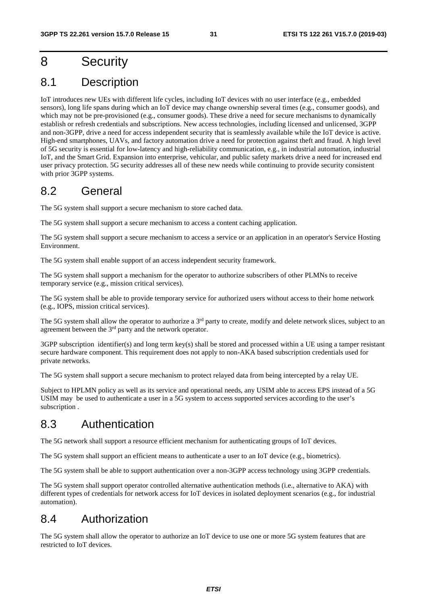## 8 Security

## 8.1 Description

IoT introduces new UEs with different life cycles, including IoT devices with no user interface (e.g., embedded sensors), long life spans during which an IoT device may change ownership several times (e.g., consumer goods), and which may not be pre-provisioned (e.g., consumer goods). These drive a need for secure mechanisms to dynamically establish or refresh credentials and subscriptions. New access technologies, including licensed and unlicensed, 3GPP and non-3GPP, drive a need for access independent security that is seamlessly available while the IoT device is active. High-end smartphones, UAVs, and factory automation drive a need for protection against theft and fraud. A high level of 5G security is essential for low-latency and high-reliability communication, e.g., in industrial automation, industrial IoT, and the Smart Grid. Expansion into enterprise, vehicular, and public safety markets drive a need for increased end user privacy protection. 5G security addresses all of these new needs while continuing to provide security consistent with prior 3GPP systems.

### 8.2 General

The 5G system shall support a secure mechanism to store cached data.

The 5G system shall support a secure mechanism to access a content caching application.

The 5G system shall support a secure mechanism to access a service or an application in an operator's Service Hosting Environment.

The 5G system shall enable support of an access independent security framework.

The 5G system shall support a mechanism for the operator to authorize subscribers of other PLMNs to receive temporary service (e.g., mission critical services).

The 5G system shall be able to provide temporary service for authorized users without access to their home network (e.g., IOPS, mission critical services).

The 5G system shall allow the operator to authorize a 3<sup>rd</sup> party to create, modify and delete network slices, subject to an agreement between the 3rd party and the network operator.

3GPP subscription identifier(s) and long term key(s) shall be stored and processed within a UE using a tamper resistant secure hardware component. This requirement does not apply to non-AKA based subscription credentials used for private networks.

The 5G system shall support a secure mechanism to protect relayed data from being intercepted by a relay UE.

Subject to HPLMN policy as well as its service and operational needs, any USIM able to access EPS instead of a 5G USIM may be used to authenticate a user in a 5G system to access supported services according to the user's subscription .

### 8.3 Authentication

The 5G network shall support a resource efficient mechanism for authenticating groups of IoT devices.

The 5G system shall support an efficient means to authenticate a user to an IoT device (e.g., biometrics).

The 5G system shall be able to support authentication over a non-3GPP access technology using 3GPP credentials.

The 5G system shall support operator controlled alternative authentication methods (i.e., alternative to AKA) with different types of credentials for network access for IoT devices in isolated deployment scenarios (e.g., for industrial automation).

### 8.4 Authorization

The 5G system shall allow the operator to authorize an IoT device to use one or more 5G system features that are restricted to IoT devices.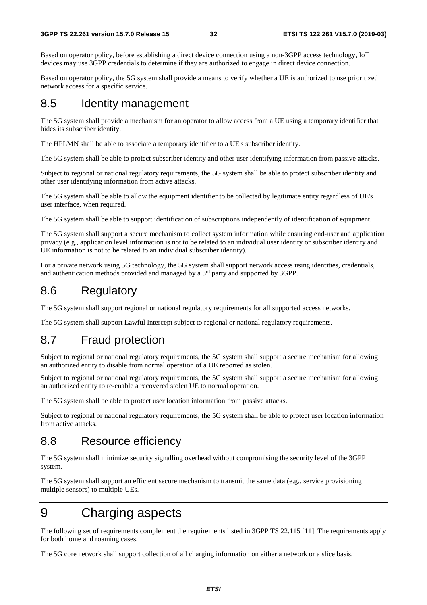Based on operator policy, before establishing a direct device connection using a non-3GPP access technology, IoT devices may use 3GPP credentials to determine if they are authorized to engage in direct device connection.

Based on operator policy, the 5G system shall provide a means to verify whether a UE is authorized to use prioritized network access for a specific service.

### 8.5 Identity management

The 5G system shall provide a mechanism for an operator to allow access from a UE using a temporary identifier that hides its subscriber identity.

The HPLMN shall be able to associate a temporary identifier to a UE's subscriber identity.

The 5G system shall be able to protect subscriber identity and other user identifying information from passive attacks.

Subject to regional or national regulatory requirements, the 5G system shall be able to protect subscriber identity and other user identifying information from active attacks.

The 5G system shall be able to allow the equipment identifier to be collected by legitimate entity regardless of UE's user interface, when required.

The 5G system shall be able to support identification of subscriptions independently of identification of equipment.

The 5G system shall support a secure mechanism to collect system information while ensuring end-user and application privacy (e.g., application level information is not to be related to an individual user identity or subscriber identity and UE information is not to be related to an individual subscriber identity).

For a private network using 5G technology, the 5G system shall support network access using identities, credentials, and authentication methods provided and managed by a 3<sup>rd</sup> party and supported by 3GPP.

### 8.6 Regulatory

The 5G system shall support regional or national regulatory requirements for all supported access networks.

The 5G system shall support Lawful Intercept subject to regional or national regulatory requirements.

## 8.7 Fraud protection

Subject to regional or national regulatory requirements, the 5G system shall support a secure mechanism for allowing an authorized entity to disable from normal operation of a UE reported as stolen.

Subject to regional or national regulatory requirements, the 5G system shall support a secure mechanism for allowing an authorized entity to re-enable a recovered stolen UE to normal operation.

The 5G system shall be able to protect user location information from passive attacks.

Subject to regional or national regulatory requirements, the 5G system shall be able to protect user location information from active attacks.

### 8.8 Resource efficiency

The 5G system shall minimize security signalling overhead without compromising the security level of the 3GPP system.

The 5G system shall support an efficient secure mechanism to transmit the same data (e.g., service provisioning multiple sensors) to multiple UEs.

## 9 Charging aspects

The following set of requirements complement the requirements listed in 3GPP TS 22.115 [11]. The requirements apply for both home and roaming cases.

The 5G core network shall support collection of all charging information on either a network or a slice basis.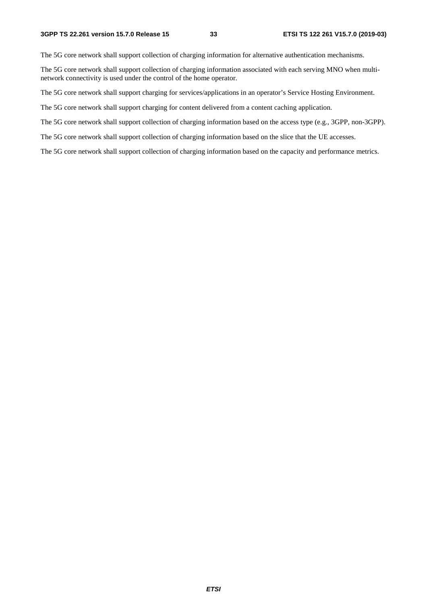The 5G core network shall support collection of charging information for alternative authentication mechanisms.

The 5G core network shall support collection of charging information associated with each serving MNO when multinetwork connectivity is used under the control of the home operator.

The 5G core network shall support charging for services/applications in an operator's Service Hosting Environment.

The 5G core network shall support charging for content delivered from a content caching application.

The 5G core network shall support collection of charging information based on the access type (e.g., 3GPP, non-3GPP).

The 5G core network shall support collection of charging information based on the slice that the UE accesses.

The 5G core network shall support collection of charging information based on the capacity and performance metrics.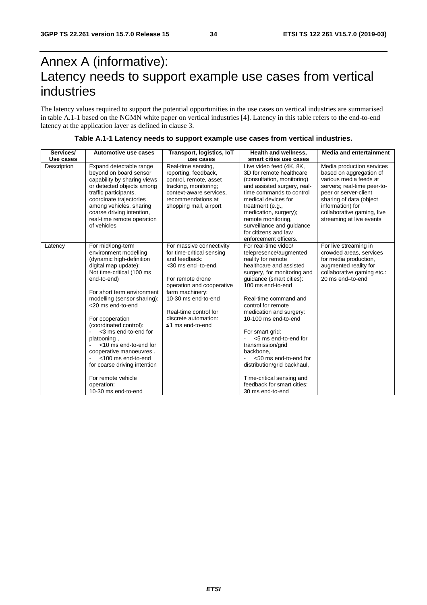## Annex A (informative): Latency needs to support example use cases from vertical industries

The latency values required to support the potential opportunities in the use cases on vertical industries are summarised in table A.1-1 based on the NGMN white paper on vertical industries [4]. Latency in this table refers to the end-to-end latency at the application layer as defined in clause 3.

| Services/   | Automotive use cases                                                                                                                                                                                                                                                                                                                                                                                                                                                                  | Transport, logistics, IoT                                                                                                                                                                                                                                    | <b>Health and wellness.</b>                                                                                                                                                                                                                                                                                                                                                                                                                                                                           | <b>Media and entertainment</b>                                                                                                                                                                                                                  |
|-------------|---------------------------------------------------------------------------------------------------------------------------------------------------------------------------------------------------------------------------------------------------------------------------------------------------------------------------------------------------------------------------------------------------------------------------------------------------------------------------------------|--------------------------------------------------------------------------------------------------------------------------------------------------------------------------------------------------------------------------------------------------------------|-------------------------------------------------------------------------------------------------------------------------------------------------------------------------------------------------------------------------------------------------------------------------------------------------------------------------------------------------------------------------------------------------------------------------------------------------------------------------------------------------------|-------------------------------------------------------------------------------------------------------------------------------------------------------------------------------------------------------------------------------------------------|
| Use cases   |                                                                                                                                                                                                                                                                                                                                                                                                                                                                                       | use cases                                                                                                                                                                                                                                                    | smart cities use cases                                                                                                                                                                                                                                                                                                                                                                                                                                                                                |                                                                                                                                                                                                                                                 |
| Description | Expand detectable range<br>beyond on board sensor<br>capability by sharing views<br>or detected objects among<br>traffic participants,<br>coordinate trajectories<br>among vehicles, sharing<br>coarse driving intention,<br>real-time remote operation<br>of vehicles                                                                                                                                                                                                                | Real-time sensing,<br>reporting, feedback,<br>control, remote, asset<br>tracking, monitoring;<br>context-aware services,<br>recommendations at<br>shopping mall, airport                                                                                     | Live video feed (4K, 8K,<br>3D for remote healthcare<br>(consultation, monitoring)<br>and assisted surgery, real-<br>time commands to control<br>medical devices for<br>treatment (e.g.,<br>medication, surgery);<br>remote monitoring,<br>surveillance and guidance<br>for citizens and law<br>enforcement officers.                                                                                                                                                                                 | Media production services<br>based on aggregation of<br>various media feeds at<br>servers; real-time peer-to-<br>peer or server-client<br>sharing of data (object<br>information) for<br>collaborative gaming, live<br>streaming at live events |
| Latency     | For mid/long-term<br>environment modelling<br>(dynamic high-definition<br>digital map update):<br>Not time-critical (100 ms<br>end-to-end)<br>For short term environment<br>modelling (sensor sharing):<br><20 ms end-to-end<br>For cooperation<br>(coordinated control):<br><3 ms end-to-end for<br>platooning,<br><10 ms end-to-end for<br>cooperative manoeuvres.<br><100 ms end-to-end<br>for coarse driving intention<br>For remote vehicle<br>operation:<br>10-30 ms end-to-end | For massive connectivity<br>for time-critical sensing<br>and feedback:<br><30 ms end-to-end.<br>For remote drone<br>operation and cooperative<br>farm machinery:<br>10-30 ms end-to-end<br>Real-time control for<br>discrete automation:<br>≤1 ms end-to-end | For real-time video/<br>telepresence/augmented<br>reality for remote<br>healthcare and assisted<br>surgery, for monitoring and<br>guidance (smart cities):<br>100 ms end-to-end<br>Real-time command and<br>control for remote<br>medication and surgery:<br>10-100 ms end-to-end<br>For smart grid:<br><5 ms end-to-end for<br>transmission/grid<br>backbone,<br><50 ms end-to-end for<br>distribution/grid backhaul,<br>Time-critical sensing and<br>feedback for smart cities:<br>30 ms end-to-end | For live streaming in<br>crowded areas, services<br>for media production,<br>augmented reality for<br>collaborative gaming etc.:<br>20 ms end-to-end                                                                                            |

#### **Table A.1-1 Latency needs to support example use cases from vertical industries.**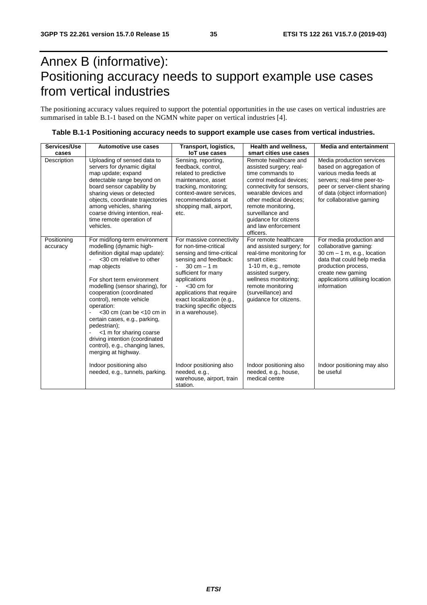## Annex B (informative): Positioning accuracy needs to support example use cases from vertical industries

The positioning accuracy values required to support the potential opportunities in the use cases on vertical industries are summarised in table B.1-1 based on the NGMN white paper on vertical industries [4].

| Services/Use            | Automotive use cases                                                                                                                                                                                                                                                                                                                                                                                                                                                                     | Transport, logistics,                                                                                                                                                                                                                                                                                       | <b>Health and wellness.</b>                                                                                                                                                                                                                                                            | <b>Media and entertainment</b>                                                                                                                                                                                 |
|-------------------------|------------------------------------------------------------------------------------------------------------------------------------------------------------------------------------------------------------------------------------------------------------------------------------------------------------------------------------------------------------------------------------------------------------------------------------------------------------------------------------------|-------------------------------------------------------------------------------------------------------------------------------------------------------------------------------------------------------------------------------------------------------------------------------------------------------------|----------------------------------------------------------------------------------------------------------------------------------------------------------------------------------------------------------------------------------------------------------------------------------------|----------------------------------------------------------------------------------------------------------------------------------------------------------------------------------------------------------------|
| cases                   |                                                                                                                                                                                                                                                                                                                                                                                                                                                                                          | loT use cases                                                                                                                                                                                                                                                                                               | smart cities use cases                                                                                                                                                                                                                                                                 |                                                                                                                                                                                                                |
| Description             | Uploading of sensed data to<br>servers for dynamic digital<br>map update; expand<br>detectable range beyond on<br>board sensor capability by<br>sharing views or detected<br>objects, coordinate trajectories<br>among vehicles, sharing<br>coarse driving intention, real-<br>time remote operation of<br>vehicles.                                                                                                                                                                     | Sensing, reporting,<br>feedback, control,<br>related to predictive<br>maintenance, asset<br>tracking, monitoring;<br>context-aware services.<br>recommendations at<br>shopping mall, airport,<br>etc.                                                                                                       | Remote healthcare and<br>assisted surgery; real-<br>time commands to<br>control medical devices;<br>connectivity for sensors,<br>wearable devices and<br>other medical devices;<br>remote monitoring,<br>surveillance and<br>quidance for citizens<br>and law enforcement<br>officers. | Media production services<br>based on aggregation of<br>various media feeds at<br>servers; real-time peer-to-<br>peer or server-client sharing<br>of data (object information)<br>for collaborative gaming     |
| Positioning<br>accuracy | For mid/long-term environment<br>modelling (dynamic high-<br>definition digital map update):<br><30 cm relative to other<br>map objects<br>For short term environment<br>modelling (sensor sharing), for<br>cooperation (coordinated<br>control), remote vehicle<br>operation:<br>$<$ 30 cm (can be $<$ 10 cm in<br>certain cases, e.g., parking,<br>pedestrian);<br><1 m for sharing coarse<br>driving intention (coordinated<br>control), e.g., changing lanes,<br>merging at highway. | For massive connectivity<br>for non-time-critical<br>sensing and time-critical<br>sensing and feedback:<br>$30 \text{ cm} - 1 \text{ m}$<br>sufficient for many<br>applications<br>$<$ 30 cm for<br>applications that require<br>exact localization (e.g.,<br>tracking specific objects<br>in a warehouse). | For remote healthcare<br>and assisted surgery; for<br>real-time monitoring for<br>smart cities:<br>$1-10$ m, e.g., remote<br>assisted surgery,<br>wellness monitoring;<br>remote monitoring<br>(surveillance) and<br>quidance for citizens.                                            | For media production and<br>collaborative gaming:<br>30 cm $-$ 1 m, e.g., location<br>data that could help media<br>production process,<br>create new gaming<br>applications utilising location<br>information |
|                         | Indoor positioning also<br>needed, e.g., tunnels, parking.                                                                                                                                                                                                                                                                                                                                                                                                                               | Indoor positioning also<br>needed, e.g.,<br>warehouse, airport, train<br>station.                                                                                                                                                                                                                           | Indoor positioning also<br>needed, e.g., house,<br>medical centre                                                                                                                                                                                                                      | Indoor positioning may also<br>be useful                                                                                                                                                                       |

|  | Table B.1-1 Positioning accuracy needs to support example use cases from vertical industries. |
|--|-----------------------------------------------------------------------------------------------|
|--|-----------------------------------------------------------------------------------------------|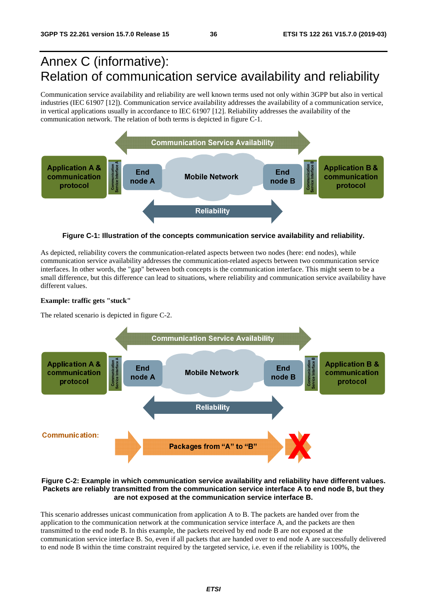## Annex C (informative): Relation of communication service availability and reliability

Communication service availability and reliability are well known terms used not only within 3GPP but also in vertical industries (IEC 61907 [12]). Communication service availability addresses the availability of a communication service, in vertical applications usually in accordance to IEC 61907 [12]. Reliability addresses the availability of the communication network. The relation of both terms is depicted in figure C-1.



**Figure C-1: Illustration of the concepts communication service availability and reliability.** 

As depicted, reliability covers the communication-related aspects between two nodes (here: end nodes), while communication service availability addresses the communication-related aspects between two communication service interfaces. In other words, the "gap" between both concepts is the communication interface. This might seem to be a small difference, but this difference can lead to situations, where reliability and communication service availability have different values.

#### **Example: traffic gets "stuck"**

The related scenario is depicted in figure C-2.



#### **Figure C-2: Example in which communication service availability and reliability have different values. Packets are reliably transmitted from the communication service interface A to end node B, but they are not exposed at the communication service interface B.**

This scenario addresses unicast communication from application A to B. The packets are handed over from the application to the communication network at the communication service interface A, and the packets are then transmitted to the end node B. In this example, the packets received by end node B are not exposed at the communication service interface B. So, even if all packets that are handed over to end node A are successfully delivered to end node B within the time constraint required by the targeted service, i.e. even if the reliability is 100%, the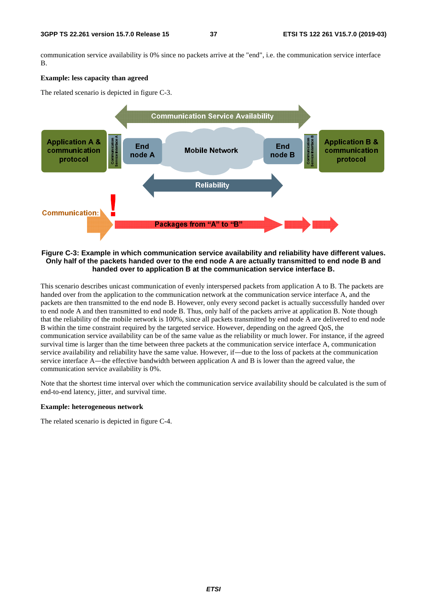communication service availability is 0% since no packets arrive at the "end", i.e. the communication service interface B.

#### **Example: less capacity than agreed**

The related scenario is depicted in figure C-3.



**Figure C-3: Example in which communication service availability and reliability have different values. Only half of the packets handed over to the end node A are actually transmitted to end node B and handed over to application B at the communication service interface B.** 

This scenario describes unicast communication of evenly interspersed packets from application A to B. The packets are handed over from the application to the communication network at the communication service interface A, and the packets are then transmitted to the end node B. However, only every second packet is actually successfully handed over to end node A and then transmitted to end node B. Thus, only half of the packets arrive at application B. Note though that the reliability of the mobile network is 100%, since all packets transmitted by end node A are delivered to end node B within the time constraint required by the targeted service. However, depending on the agreed QoS, the communication service availability can be of the same value as the reliability or much lower. For instance, if the agreed survival time is larger than the time between three packets at the communication service interface A, communication service availability and reliability have the same value. However, if―due to the loss of packets at the communication service interface A—the effective bandwidth between application A and B is lower than the agreed value, the communication service availability is 0%.

Note that the shortest time interval over which the communication service availability should be calculated is the sum of end-to-end latency, jitter, and survival time.

#### **Example: heterogeneous network**

The related scenario is depicted in figure C-4.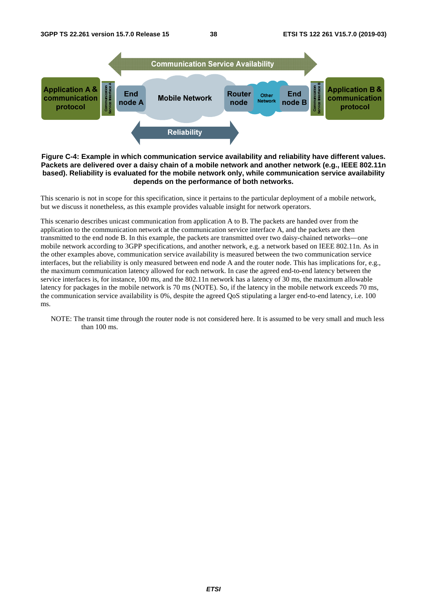

#### **Figure C-4: Example in which communication service availability and reliability have different values. Packets are delivered over a daisy chain of a mobile network and another network (e.g., IEEE 802.11n based). Reliability is evaluated for the mobile network only, while communication service availability depends on the performance of both networks.**

This scenario is not in scope for this specification, since it pertains to the particular deployment of a mobile network, but we discuss it nonetheless, as this example provides valuable insight for network operators.

This scenario describes unicast communication from application A to B. The packets are handed over from the application to the communication network at the communication service interface A, and the packets are then transmitted to the end node B. In this example, the packets are transmitted over two daisy-chained networks―one mobile network according to 3GPP specifications, and another network, e.g. a network based on IEEE 802.11n. As in the other examples above, communication service availability is measured between the two communication service interfaces, but the reliability is only measured between end node A and the router node. This has implications for, e.g., the maximum communication latency allowed for each network. In case the agreed end-to-end latency between the service interfaces is, for instance, 100 ms, and the 802.11n network has a latency of 30 ms, the maximum allowable latency for packages in the mobile network is 70 ms (NOTE). So, if the latency in the mobile network exceeds 70 ms, the communication service availability is 0%, despite the agreed QoS stipulating a larger end-to-end latency, i.e. 100 ms.

NOTE: The transit time through the router node is not considered here. It is assumed to be very small and much less than 100 ms.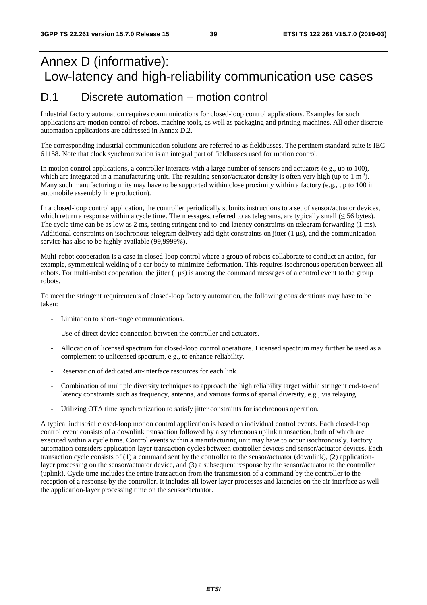## Annex D (informative): Low-latency and high-reliability communication use cases

### D.1 Discrete automation – motion control

Industrial factory automation requires communications for closed-loop control applications. Examples for such applications are motion control of robots, machine tools, as well as packaging and printing machines. All other discreteautomation applications are addressed in Annex D.2.

The corresponding industrial communication solutions are referred to as fieldbusses. The pertinent standard suite is IEC 61158. Note that clock synchronization is an integral part of fieldbusses used for motion control.

In motion control applications, a controller interacts with a large number of sensors and actuators (e.g., up to 100), which are integrated in a manufacturing unit. The resulting sensor/actuator density is often very high (up to  $1 \text{ m}^{-3}$ ). Many such manufacturing units may have to be supported within close proximity within a factory (e.g., up to 100 in automobile assembly line production).

In a closed-loop control application, the controller periodically submits instructions to a set of sensor/actuator devices, which return a response within a cycle time. The messages, referred to as telegrams, are typically small  $(\leq 56$  bytes). The cycle time can be as low as 2 ms, setting stringent end-to-end latency constraints on telegram forwarding (1 ms). Additional constraints on isochronous telegram delivery add tight constraints on jitter (1 us), and the communication service has also to be highly available (99,9999%).

Multi-robot cooperation is a case in closed-loop control where a group of robots collaborate to conduct an action, for example, symmetrical welding of a car body to minimize deformation. This requires isochronous operation between all robots. For multi-robot cooperation, the jitter  $(1\mu s)$  is among the command messages of a control event to the group robots.

To meet the stringent requirements of closed-loop factory automation, the following considerations may have to be taken:

- Limitation to short-range communications.
- Use of direct device connection between the controller and actuators.
- Allocation of licensed spectrum for closed-loop control operations. Licensed spectrum may further be used as a complement to unlicensed spectrum, e.g., to enhance reliability.
- Reservation of dedicated air-interface resources for each link.
- Combination of multiple diversity techniques to approach the high reliability target within stringent end-to-end latency constraints such as frequency, antenna, and various forms of spatial diversity, e.g., via relaying
- Utilizing OTA time synchronization to satisfy jitter constraints for isochronous operation.

A typical industrial closed-loop motion control application is based on individual control events. Each closed-loop control event consists of a downlink transaction followed by a synchronous uplink transaction, both of which are executed within a cycle time. Control events within a manufacturing unit may have to occur isochronously. Factory automation considers application-layer transaction cycles between controller devices and sensor/actuator devices. Each transaction cycle consists of (1) a command sent by the controller to the sensor/actuator (downlink), (2) applicationlayer processing on the sensor/actuator device, and (3) a subsequent response by the sensor/actuator to the controller (uplink). Cycle time includes the entire transaction from the transmission of a command by the controller to the reception of a response by the controller. It includes all lower layer processes and latencies on the air interface as well the application-layer processing time on the sensor/actuator.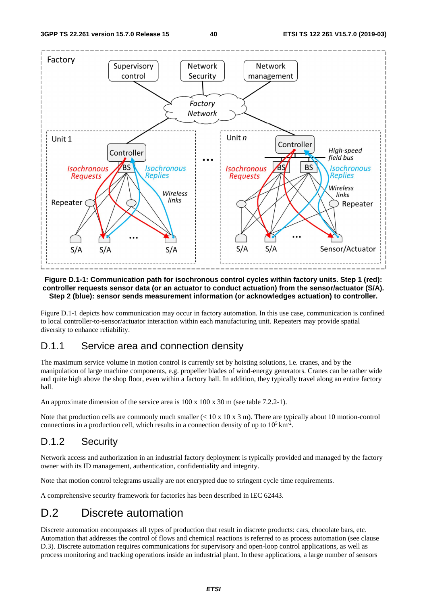

#### **Figure D.1-1: Communication path for isochronous control cycles within factory units. Step 1 (red): controller requests sensor data (or an actuator to conduct actuation) from the sensor/actuator (S/A). Step 2 (blue): sensor sends measurement information (or acknowledges actuation) to controller.**

Figure D.1-1 depicts how communication may occur in factory automation. In this use case, communication is confined to local controller-to-sensor/actuator interaction within each manufacturing unit. Repeaters may provide spatial diversity to enhance reliability.

### D.1.1 Service area and connection density

The maximum service volume in motion control is currently set by hoisting solutions, i.e. cranes, and by the manipulation of large machine components, e.g. propeller blades of wind-energy generators. Cranes can be rather wide and quite high above the shop floor, even within a factory hall. In addition, they typically travel along an entire factory hall.

An approximate dimension of the service area is 100 x 100 x 30 m (see table 7.2.2-1).

Note that production cells are commonly much smaller  $(< 10 \times 10 \times 3 \text{ m})$ . There are typically about 10 motion-control connections in a production cell, which results in a connection density of up to  $10^5 \text{ km}^2$ .

### D.1.2 Security

Network access and authorization in an industrial factory deployment is typically provided and managed by the factory owner with its ID management, authentication, confidentiality and integrity.

Note that motion control telegrams usually are not encrypted due to stringent cycle time requirements.

A comprehensive security framework for factories has been described in IEC 62443.

### D.2 Discrete automation

Discrete automation encompasses all types of production that result in discrete products: cars, chocolate bars, etc. Automation that addresses the control of flows and chemical reactions is referred to as process automation (see clause D.3). Discrete automation requires communications for supervisory and open-loop control applications, as well as process monitoring and tracking operations inside an industrial plant. In these applications, a large number of sensors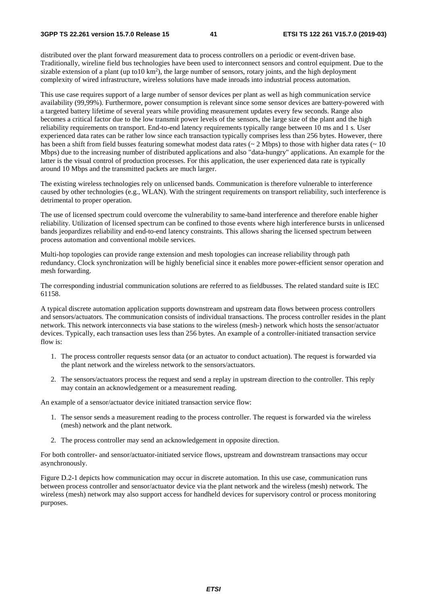distributed over the plant forward measurement data to process controllers on a periodic or event-driven base. Traditionally, wireline field bus technologies have been used to interconnect sensors and control equipment. Due to the sizable extension of a plant (up to10  $km^2$ ), the large number of sensors, rotary joints, and the high deployment complexity of wired infrastructure, wireless solutions have made inroads into industrial process automation.

This use case requires support of a large number of sensor devices per plant as well as high communication service availability (99,99%). Furthermore, power consumption is relevant since some sensor devices are battery-powered with a targeted battery lifetime of several years while providing measurement updates every few seconds. Range also becomes a critical factor due to the low transmit power levels of the sensors, the large size of the plant and the high reliability requirements on transport. End-to-end latency requirements typically range between 10 ms and 1 s. User experienced data rates can be rather low since each transaction typically comprises less than 256 bytes. However, there has been a shift from field busses featuring somewhat modest data rates ( $\sim 2$  Mbps) to those with higher data rates ( $\sim 10$ Mbps) due to the increasing number of distributed applications and also "data-hungry" applications. An example for the latter is the visual control of production processes. For this application, the user experienced data rate is typically around 10 Mbps and the transmitted packets are much larger.

The existing wireless technologies rely on unlicensed bands. Communication is therefore vulnerable to interference caused by other technologies (e.g., WLAN). With the stringent requirements on transport reliability, such interference is detrimental to proper operation.

The use of licensed spectrum could overcome the vulnerability to same-band interference and therefore enable higher reliability. Utilization of licensed spectrum can be confined to those events where high interference bursts in unlicensed bands jeopardizes reliability and end-to-end latency constraints. This allows sharing the licensed spectrum between process automation and conventional mobile services.

Multi-hop topologies can provide range extension and mesh topologies can increase reliability through path redundancy. Clock synchronization will be highly beneficial since it enables more power-efficient sensor operation and mesh forwarding.

The corresponding industrial communication solutions are referred to as fieldbusses. The related standard suite is IEC 61158.

A typical discrete automation application supports downstream and upstream data flows between process controllers and sensors/actuators. The communication consists of individual transactions. The process controller resides in the plant network. This network interconnects via base stations to the wireless (mesh-) network which hosts the sensor/actuator devices. Typically, each transaction uses less than 256 bytes. An example of a controller-initiated transaction service flow is:

- 1. The process controller requests sensor data (or an actuator to conduct actuation). The request is forwarded via the plant network and the wireless network to the sensors/actuators.
- 2. The sensors/actuators process the request and send a replay in upstream direction to the controller. This reply may contain an acknowledgement or a measurement reading.

An example of a sensor/actuator device initiated transaction service flow:

- 1. The sensor sends a measurement reading to the process controller. The request is forwarded via the wireless (mesh) network and the plant network.
- 2. The process controller may send an acknowledgement in opposite direction.

For both controller- and sensor/actuator-initiated service flows, upstream and downstream transactions may occur asynchronously.

Figure D.2-1 depicts how communication may occur in discrete automation. In this use case, communication runs between process controller and sensor/actuator device via the plant network and the wireless (mesh) network. The wireless (mesh) network may also support access for handheld devices for supervisory control or process monitoring purposes.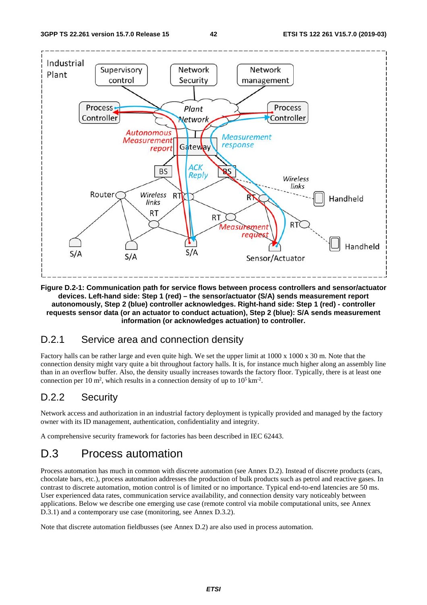

**Figure D.2-1: Communication path for service flows between process controllers and sensor/actuator devices. Left-hand side: Step 1 (red) – the sensor/actuator (S/A) sends measurement report autonomously, Step 2 (blue) controller acknowledges. Right-hand side: Step 1 (red) - controller requests sensor data (or an actuator to conduct actuation), Step 2 (blue): S/A sends measurement information (or acknowledges actuation) to controller.** 

### D.2.1 Service area and connection density

Factory halls can be rather large and even quite high. We set the upper limit at 1000 x 1000 x 30 m. Note that the connection density might vary quite a bit throughout factory halls. It is, for instance much higher along an assembly line than in an overflow buffer. Also, the density usually increases towards the factory floor. Typically, there is at least one connection per 10 m<sup>2</sup>, which results in a connection density of up to  $10^5 \text{ km}^2$ .

### D.2.2 Security

Network access and authorization in an industrial factory deployment is typically provided and managed by the factory owner with its ID management, authentication, confidentiality and integrity.

A comprehensive security framework for factories has been described in IEC 62443.

## D.3 Process automation

Process automation has much in common with discrete automation (see Annex D.2). Instead of discrete products (cars, chocolate bars, etc.), process automation addresses the production of bulk products such as petrol and reactive gases. In contrast to discrete automation, motion control is of limited or no importance. Typical end-to-end latencies are 50 ms. User experienced data rates, communication service availability, and connection density vary noticeably between applications. Below we describe one emerging use case (remote control via mobile computational units, see Annex D.3.1) and a contemporary use case (monitoring, see Annex D.3.2).

Note that discrete automation fieldbusses (see Annex D.2) are also used in process automation.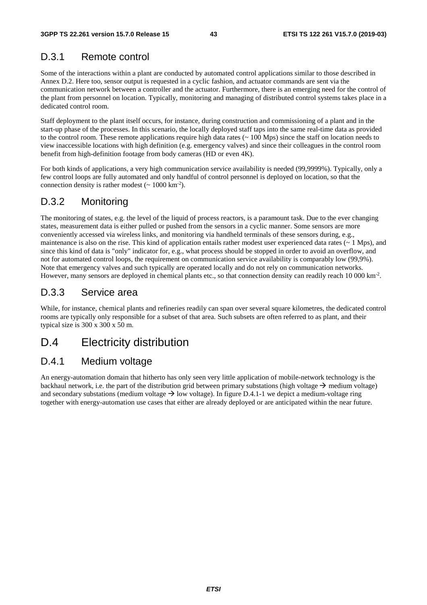### D.3.1 Remote control

Some of the interactions within a plant are conducted by automated control applications similar to those described in Annex D.2. Here too, sensor output is requested in a cyclic fashion, and actuator commands are sent via the communication network between a controller and the actuator. Furthermore, there is an emerging need for the control of the plant from personnel on location. Typically, monitoring and managing of distributed control systems takes place in a dedicated control room.

Staff deployment to the plant itself occurs, for instance, during construction and commissioning of a plant and in the start-up phase of the processes. In this scenario, the locally deployed staff taps into the same real-time data as provided to the control room. These remote applications require high data rates (~ 100 Mps) since the staff on location needs to view inaccessible locations with high definition (e.g. emergency valves) and since their colleagues in the control room benefit from high-definition footage from body cameras (HD or even 4K).

For both kinds of applications, a very high communication service availability is needed (99,9999%). Typically, only a few control loops are fully automated and only handful of control personnel is deployed on location, so that the connection density is rather modest  $({\sim 1000 \text{ km}^{-2}})$ .

### D.3.2 Monitoring

The monitoring of states, e.g. the level of the liquid of process reactors, is a paramount task. Due to the ever changing states, measurement data is either pulled or pushed from the sensors in a cyclic manner. Some sensors are more conveniently accessed via wireless links, and monitoring via handheld terminals of these sensors during, e.g., maintenance is also on the rise. This kind of application entails rather modest user experienced data rates  $($   $\sim$  1 Mps), and since this kind of data is "only" indicator for, e.g., what process should be stopped in order to avoid an overflow, and not for automated control loops, the requirement on communication service availability is comparably low (99,9%). Note that emergency valves and such typically are operated locally and do not rely on communication networks. However, many sensors are deployed in chemical plants etc., so that connection density can readily reach 10 000 km<sup>-2</sup>.

### D.3.3 Service area

While, for instance, chemical plants and refineries readily can span over several square kilometres, the dedicated control rooms are typically only responsible for a subset of that area. Such subsets are often referred to as plant, and their typical size is 300 x 300 x 50 m.

### D.4 Electricity distribution

### D.4.1 Medium voltage

An energy-automation domain that hitherto has only seen very little application of mobile-network technology is the backhaul network, i.e. the part of the distribution grid between primary substations (high voltage  $\rightarrow$  medium voltage) and secondary substations (medium voltage  $\rightarrow$  low voltage). In figure D.4.1-1 we depict a medium-voltage ring together with energy-automation use cases that either are already deployed or are anticipated within the near future.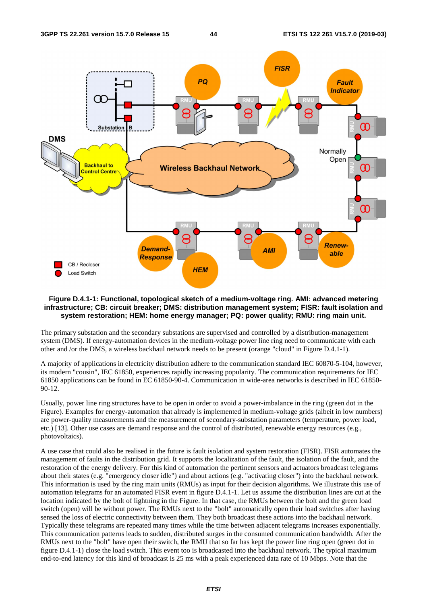

#### **Figure D.4.1-1: Functional, topological sketch of a medium-voltage ring. AMI: advanced metering infrastructure; CB: circuit breaker; DMS: distribution management system; FISR: fault isolation and system restoration; HEM: home energy manager; PQ: power quality; RMU: ring main unit.**

The primary substation and the secondary substations are supervised and controlled by a distribution-management system (DMS). If energy-automation devices in the medium-voltage power line ring need to communicate with each other and /or the DMS, a wireless backhaul network needs to be present (orange "cloud" in Figure D.4.1-1).

A majority of applications in electricity distribution adhere to the communication standard IEC 60870-5-104, however, its modern "cousin", IEC 61850, experiences rapidly increasing popularity. The communication requirements for IEC 61850 applications can be found in EC 61850-90-4. Communication in wide-area networks is described in IEC 61850- 90-12.

Usually, power line ring structures have to be open in order to avoid a power-imbalance in the ring (green dot in the Figure). Examples for energy-automation that already is implemented in medium-voltage grids (albeit in low numbers) are power-quality measurements and the measurement of secondary-substation parameters (temperature, power load, etc.) [13]. Other use cases are demand response and the control of distributed, renewable energy resources (e.g., photovoltaics).

A use case that could also be realised in the future is fault isolation and system restoration (FISR). FISR automates the management of faults in the distribution grid. It supports the localization of the fault, the isolation of the fault, and the restoration of the energy delivery. For this kind of automation the pertinent sensors and actuators broadcast telegrams about their states (e.g. "emergency closer idle") and about actions (e.g. "activating closer") into the backhaul network. This information is used by the ring main units (RMUs) as input for their decision algorithms. We illustrate this use of automation telegrams for an automated FISR event in figure D.4.1-1. Let us assume the distribution lines are cut at the location indicated by the bolt of lightning in the Figure. In that case, the RMUs between the bolt and the green load switch (open) will be without power. The RMUs next to the "bolt" automatically open their load switches after having sensed the loss of electric connectivity between them. They both broadcast these actions into the backhaul network. Typically these telegrams are repeated many times while the time between adjacent telegrams increases exponentially. This communication patterns leads to sudden, distributed surges in the consumed communication bandwidth. After the RMUs next to the "bolt" have open their switch, the RMU that so far has kept the power line ring open (green dot in figure D.4.1-1) close the load switch. This event too is broadcasted into the backhaul network. The typical maximum end-to-end latency for this kind of broadcast is 25 ms with a peak experienced data rate of 10 Mbps. Note that the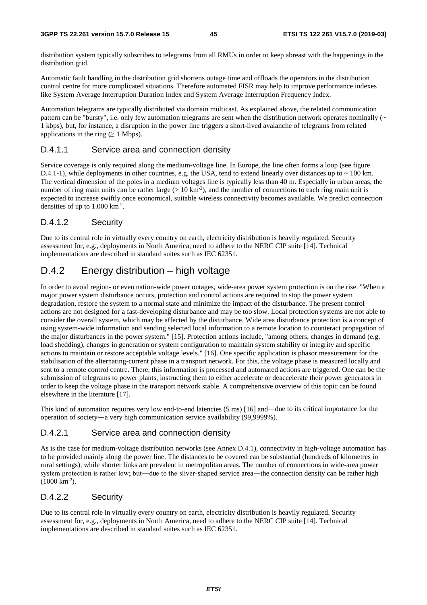distribution system typically subscribes to telegrams from all RMUs in order to keep abreast with the happenings in the distribution grid.

Automatic fault handling in the distribution grid shortens outage time and offloads the operators in the distribution control centre for more complicated situations. Therefore automated FISR may help to improve performance indexes like System Average Interruption Duration Index and System Average Interruption Frequency Index.

Automation telegrams are typically distributed via domain multicast. As explained above, the related communication pattern can be "bursty", i.e. only few automation telegrams are sent when the distribution network operates nominally  $(\sim$ 1 kbps), but, for instance, a disruption in the power line triggers a short-lived avalanche of telegrams from related applications in the ring ( $\geq 1$  Mbps).

#### D.4.1.1 Service area and connection density

Service coverage is only required along the medium-voltage line. In Europe, the line often forms a loop (see figure D.4.1-1), while deployments in other countries, e.g. the USA, tend to extend linearly over distances up to  $\sim$  100 km. The vertical dimension of the poles in a medium voltages line is typically less than 40 m. Especially in urban areas, the number of ring main units can be rather large ( $> 10 \text{ km}^{-2}$ ), and the number of connections to each ring main unit is expected to increase swiftly once economical, suitable wireless connectivity becomes available. We predict connection densities of up to 1.000 km-2.

#### D.4.1.2 Security

Due to its central role in virtually every country on earth, electricity distribution is heavily regulated. Security assessment for, e.g., deployments in North America, need to adhere to the NERC CIP suite [14]. Technical implementations are described in standard suites such as IEC 62351.

### D.4.2 Energy distribution – high voltage

In order to avoid region- or even nation-wide power outages, wide-area power system protection is on the rise. "When a major power system disturbance occurs, protection and control actions are required to stop the power system degradation, restore the system to a normal state and minimize the impact of the disturbance. The present control actions are not designed for a fast-developing disturbance and may be too slow. Local protection systems are not able to consider the overall system, which may be affected by the disturbance. Wide area disturbance protection is a concept of using system-wide information and sending selected local information to a remote location to counteract propagation of the major disturbances in the power system." [15]. Protection actions include, "among others, changes in demand (e.g. load shedding), changes in generation or system configuration to maintain system stability or integrity and specific actions to maintain or restore acceptable voltage levels." [16]. One specific application is phasor measurement for the stabilisation of the alternating-current phase in a transport network. For this, the voltage phase is measured locally and sent to a remote control centre. There, this information is processed and automated actions are triggered. One can be the submission of telegrams to power plants, instructing them to either accelerate or deaccelerate their power generators in order to keep the voltage phase in the transport network stable. A comprehensive overview of this topic can be found elsewhere in the literature [17].

This kind of automation requires very low end-to-end latencies (5 ms) [16] and—due to its critical importance for the operation of society―a very high communication service availability (99,9999%).

#### D.4.2.1 Service area and connection density

As is the case for medium-voltage distribution networks (see Annex D.4.1), connectivity in high-voltage automation has to be provided mainly along the power line. The distances to be covered can be substantial (hundreds of kilometres in rural settings), while shorter links are prevalent in metropolitan areas. The number of connections in wide-area power system protection is rather low; but—due to the sliver-shaped service area—the connection density can be rather high  $(1000 \text{ km}^{-2})$ .

#### D.4.2.2 Security

Due to its central role in virtually every country on earth, electricity distribution is heavily regulated. Security assessment for, e.g., deployments in North America, need to adhere to the NERC CIP suite [14]. Technical implementations are described in standard suites such as IEC 62351.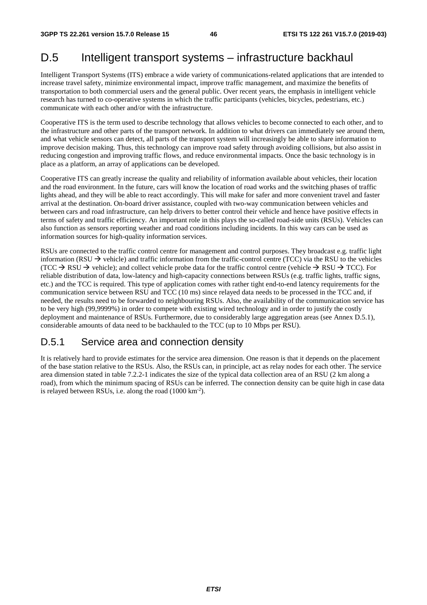## D.5 Intelligent transport systems – infrastructure backhaul

Intelligent Transport Systems (ITS) embrace a wide variety of communications-related applications that are intended to increase travel safety, minimize environmental impact, improve traffic management, and maximize the benefits of transportation to both commercial users and the general public. Over recent years, the emphasis in intelligent vehicle research has turned to co-operative systems in which the traffic participants (vehicles, bicycles, pedestrians, etc.) communicate with each other and/or with the infrastructure.

Cooperative ITS is the term used to describe technology that allows vehicles to become connected to each other, and to the infrastructure and other parts of the transport network. In addition to what drivers can immediately see around them, and what vehicle sensors can detect, all parts of the transport system will increasingly be able to share information to improve decision making. Thus, this technology can improve road safety through avoiding collisions, but also assist in reducing congestion and improving traffic flows, and reduce environmental impacts. Once the basic technology is in place as a platform, an array of applications can be developed.

Cooperative ITS can greatly increase the quality and reliability of information available about vehicles, their location and the road environment. In the future, cars will know the location of road works and the switching phases of traffic lights ahead, and they will be able to react accordingly. This will make for safer and more convenient travel and faster arrival at the destination. On-board driver assistance, coupled with two-way communication between vehicles and between cars and road infrastructure, can help drivers to better control their vehicle and hence have positive effects in terms of safety and traffic efficiency. An important role in this plays the so-called road-side units (RSUs). Vehicles can also function as sensors reporting weather and road conditions including incidents. In this way cars can be used as information sources for high-quality information services.

RSUs are connected to the traffic control centre for management and control purposes. They broadcast e.g. traffic light information (RSU  $\rightarrow$  vehicle) and traffic information from the traffic-control centre (TCC) via the RSU to the vehicles (TCC  $\rightarrow$  RSU  $\rightarrow$  vehicle); and collect vehicle probe data for the traffic control centre (vehicle  $\rightarrow$  RSU  $\rightarrow$  TCC). For reliable distribution of data, low-latency and high-capacity connections between RSUs (e.g. traffic lights, traffic signs, etc.) and the TCC is required. This type of application comes with rather tight end-to-end latency requirements for the communication service between RSU and TCC (10 ms) since relayed data needs to be processed in the TCC and, if needed, the results need to be forwarded to neighbouring RSUs. Also, the availability of the communication service has to be very high (99,9999%) in order to compete with existing wired technology and in order to justify the costly deployment and maintenance of RSUs. Furthermore, due to considerably large aggregation areas (see Annex D.5.1), considerable amounts of data need to be backhauled to the TCC (up to 10 Mbps per RSU).

### D.5.1 Service area and connection density

It is relatively hard to provide estimates for the service area dimension. One reason is that it depends on the placement of the base station relative to the RSUs. Also, the RSUs can, in principle, act as relay nodes for each other. The service area dimension stated in table 7.2.2-1 indicates the size of the typical data collection area of an RSU (2 km along a road), from which the minimum spacing of RSUs can be inferred. The connection density can be quite high in case data is relayed between RSUs, i.e. along the road (1000 km-2).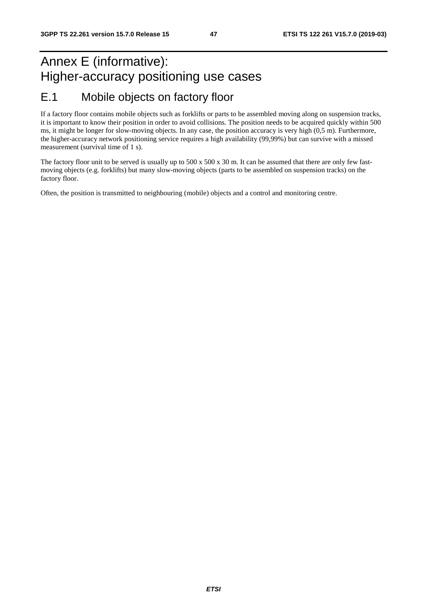## Annex E (informative): Higher-accuracy positioning use cases E.1 Mobile objects on factory floor

If a factory floor contains mobile objects such as forklifts or parts to be assembled moving along on suspension tracks, it is important to know their position in order to avoid collisions. The position needs to be acquired quickly within 500 ms, it might be longer for slow-moving objects. In any case, the position accuracy is very high (0,5 m). Furthermore, the higher-accuracy network positioning service requires a high availability (99,99%) but can survive with a missed measurement (survival time of 1 s).

The factory floor unit to be served is usually up to 500 x 500 x 30 m. It can be assumed that there are only few fastmoving objects (e.g. forklifts) but many slow-moving objects (parts to be assembled on suspension tracks) on the factory floor.

Often, the position is transmitted to neighbouring (mobile) objects and a control and monitoring centre.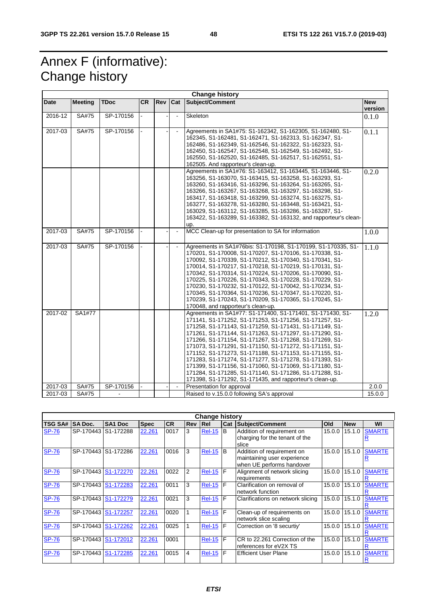## Annex F (informative): Change history

| <b>Change history</b> |                |             |           |     |                |                                                                                                                                                                                                                                                                                                                                                                                                                                                                                                                                                                                                                                                                           |                       |
|-----------------------|----------------|-------------|-----------|-----|----------------|---------------------------------------------------------------------------------------------------------------------------------------------------------------------------------------------------------------------------------------------------------------------------------------------------------------------------------------------------------------------------------------------------------------------------------------------------------------------------------------------------------------------------------------------------------------------------------------------------------------------------------------------------------------------------|-----------------------|
| Date                  | <b>Meeting</b> | <b>TDoc</b> | <b>CR</b> | Rev | Cat            | Subject/Comment                                                                                                                                                                                                                                                                                                                                                                                                                                                                                                                                                                                                                                                           | <b>New</b><br>version |
| 2016-12               | SA#75          | SP-170156   |           |     |                | Skeleton                                                                                                                                                                                                                                                                                                                                                                                                                                                                                                                                                                                                                                                                  | 0.1.0                 |
| 2017-03               | SA#75          | SP-170156   |           |     |                | Agreements in SA1#75: S1-162342, S1-162305, S1-162480, S1-<br>162345, S1-162481, S1-162471, S1-162313, S1-162347, S1-<br>162486, S1-162349, S1-162546, S1-162322, S1-162323, S1-<br>162450, S1-162547, S1-162548, S1-162549, S1-162492, S1-<br>162550, S1-162520, S1-162485, S1-162517, S1-162551, S1-<br>162505. And rapporteur's clean-up.                                                                                                                                                                                                                                                                                                                              | 0.1.1                 |
|                       |                |             |           |     |                | Agreements in SA1#76: S1-163412, S1-163445, S1-163446, S1-<br>163256, S1-163070, S1-163415, S1-163258, S1-163293, S1-<br>163260, S1-163416, S1-163296, S1-163264, S1-163265, S1-<br>163266, S1-163267, S1-163268, S1-163297, S1-163298, S1-<br>163417, S1-163418, S1-163299, S1-163274, S1-163275, S1-<br>163277, S1-163278, S1-163280, S1-163448, S1-163421, S1-<br>163029, S1-163112, S1-163285, S1-163286, S1-163287, S1-<br>163422, S1-163289, S1-163382, S1-163132, and rapporteur's clean-<br>up.                                                                                                                                                                   | 0.2.0                 |
| 2017-03               | SA#75          | SP-170156   |           |     | $\blacksquare$ | MCC Clean-up for presentation to SA for information                                                                                                                                                                                                                                                                                                                                                                                                                                                                                                                                                                                                                       | 1.0.0                 |
| 2017-03               | SA#75          | SP-170156   |           |     |                | Agreements in SA1#76bis: S1-170198, S1-170199, S1-170335, S1-<br>170201, S1-170008, S1-170207, S1-170106, S1-170338, S1-<br>170092, S1-170339, S1-170212, S1-170340, S1-170341, S1-<br>170014, S1-170217, S1-170218, S1-170219, S1-170131, S1-<br>170342, S1-170314, S1-170224, S1-170206, S1-170090, S1-<br>170225, S1-170226, S1-170343, S1-170228, S1-170229, S1-<br>170230, S1-170232, S1-170122, S1-170042, S1-170234, S1-<br>170345, S1-170364, S1-170236, S1-170347, S1-170220, S1-<br>170239, S1-170243, S1-170209, S1-170365, S1-170245, S1-<br>170048, and rapporteur's clean-up.                                                                               | 1.1.0                 |
| 2017-02               | SA1#77         |             |           |     |                | Agreements in SA1#77: S1-171400, S1-171401, S1-171430, S1-<br>171141, S1-171252, S1-171253, S1-171256, S1-171257, S1-<br>171258, S1-171143, S1-171259, S1-171431, S1-171149, S1-<br>171261, S1-171144, S1-171263, S1-171297, S1-171290, S1-<br>171266, S1-171154, S1-171267, S1-171268, S1-171269, S1-<br>171073, S1-171291, S1-171150, S1-171272, S1-171151, S1-<br>171152, S1-171273, S1-171188, S1-171153, S1-171155, S1-<br>171283, S1-171274, S1-171277, S1-171278, S1-171393, S1-<br>171399, S1-171156, S1-171060, S1-171069, S1-171180, S1-<br>171284, S1-171285, S1-171140, S1-171286, S1-171288, S1-<br>171398, S1-171292, S1-171435, and rapporteur's clean-up. | 1.2.0                 |
| 2017-03               | SA#75          | SP-170156   |           |     | $\blacksquare$ | Presentation for approval                                                                                                                                                                                                                                                                                                                                                                                                                                                                                                                                                                                                                                                 | 2.0.0                 |
| 2017-03               | SA#75          |             |           |     |                | Raised to v.15.0.0 following SA's approval                                                                                                                                                                                                                                                                                                                                                                                                                                                                                                                                                                                                                                | 15.0.0                |

| <b>Change history</b> |                     |                     |             |           |                |                 |     |                                                                                        |        |            |               |
|-----------------------|---------------------|---------------------|-------------|-----------|----------------|-----------------|-----|----------------------------------------------------------------------------------------|--------|------------|---------------|
| <b>TSG SA#</b>        | <b>SA Doc.</b>      | SA <sub>1</sub> Doc | <b>Spec</b> | <b>CR</b> | <b>Rev Rel</b> |                 | Cat | <b>Subject/Comment</b>                                                                 | Old    | <b>New</b> | WI            |
| <b>SP-76</b>          | SP-170443           | S1-172288           | 22.261      | 0017      | 3              | <b>Rel-15</b>   | B   | Addition of requirement on<br>charging for the tenant of the<br>slice                  | 15.0.0 | 15.1.0     | <b>SMARTE</b> |
| <b>SP-76</b>          | SP-170443           | S1-172286           | 22.261      | 0016      | 3              | <b>Rel-15</b>   | B   | Addition of requirement on<br>maintaining user experience<br>when UE performs handover | 15.0.0 | 15.1.0     | <b>SMARTE</b> |
| <b>SP-76</b>          | SP-170443 S1-172270 |                     | 22.261      | 0022      | 2              | $Rel-15$ $F$    |     | Alignment of network slicing<br>requirements                                           | 15.0.0 | 15.1.0     | <b>SMARTE</b> |
| <b>SP-76</b>          | SP-170443           | S1-172283           | 22.261      | 0011      | 3              | $Rel-15$ $F$    |     | Clarification on removal of<br>network function                                        | 15.0.0 | 15.1.0     | <b>SMARTE</b> |
| <b>SP-76</b>          | SP-170443 S1-172279 |                     | 22.261      | 0021      | 3              | <b>Rel-15 F</b> |     | Clarifications on network slicing                                                      | 15.0.0 | 15.1.0     | <b>SMARTE</b> |
| <b>SP-76</b>          | SP-170443           | S1-172257           | 22.261      | 0020      |                | $Rel-15$ $F$    |     | Clean-up of requirements on<br>network slice scaling                                   | 15.0.0 | 15.1.0     | <b>SMARTE</b> |
| <b>SP-76</b>          | SP-170443 S1-172262 |                     | 22.261      | 0025      |                | <b>Rel-15</b>   | F   | Correction on '8 securtiy'                                                             | 15.0.0 | 15.1.0     | <b>SMARTE</b> |
| <b>SP-76</b>          | SP-170443           | S1-172012           | 22.261      | 0001      |                | $Rel-15$ F      |     | CR to 22.261 Correction of the<br>references for eV2X TS                               | 15.0.0 | 15.1.0     | <b>SMARTE</b> |
| <b>SP-76</b>          | SP-170443           | S1-172285           | 22.261      | 0015      | 4              | $Rel-15$ $F$    |     | <b>Efficient User Plane</b>                                                            | 15.0.0 | 15.1.0     | <b>SMARTE</b> |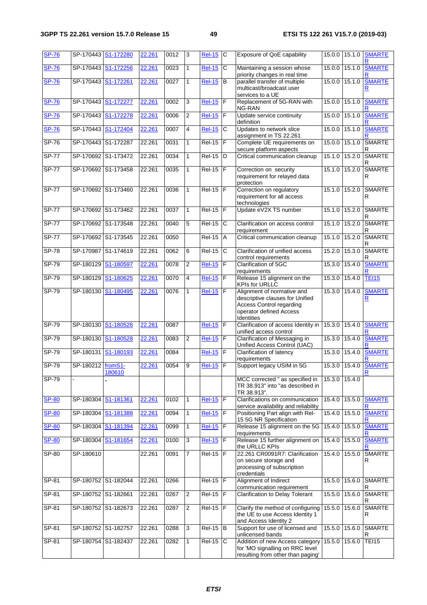| <b>SP-76</b> | SP-170443 S1-172280 |                        | 22.261 | 0012 | 3              | <b>Rel-15</b>  | C              | Exposure of QoE capability                                                                                                                | 15.0.0        | 15.1.0        | <b>SMARTE</b>      |
|--------------|---------------------|------------------------|--------|------|----------------|----------------|----------------|-------------------------------------------------------------------------------------------------------------------------------------------|---------------|---------------|--------------------|
| <b>SP-76</b> | SP-170443           | S1-172256              | 22.261 | 0023 | 1              | <b>Rel-15</b>  | С              | Maintaining a session whose<br>priority changes in real time                                                                              | 15.0.0        | 15.1.0        | <b>SMARTE</b>      |
| <b>SP-76</b> | SP-170443           | S <sub>1</sub> -172261 | 22.261 | 0027 | 1              | $ReI-15$       | B              | parallel transfer of multiple<br>multicast/broadcast user<br>services to a UE                                                             | 15.0.0        | 15.1.0        | <b>SMARTE</b><br>R |
| <b>SP-76</b> | SP-170443           | S1-172277              | 22.261 | 0002 | 3              | <b>Rel-15</b>  | F              | Replacement of 5G-RAN with<br>NG-RAN                                                                                                      | 15.0.0        | 15.1.0        | <b>SMARTE</b>      |
| <b>SP-76</b> | SP-170443           | S1-172278              | 22.261 | 0006 | 2              | <b>Rel-15</b>  | F              | Update service continuity<br>definition                                                                                                   | 15.0.0        | 15.1.0        | <b>SMARTE</b>      |
| <b>SP-76</b> | SP-170443           | S1-172404              | 22.261 | 0007 | 4              | <b>Rel-15</b>  | C              | Updates to network slice<br>assignment in TS 22.261                                                                                       | 15.0.0        | 15.1.0        | <b>SMARTE</b>      |
| $SP-76$      | SP-170443 S1-172287 |                        | 22.261 | 0031 | $\mathbf{1}$   | $Rel-15$ F     |                | Complete UE requirements on<br>secure platform aspects                                                                                    | 15.0.0        | 15.1.0        | <b>SMARTE</b><br>R |
| <b>SP-77</b> | SP-170692 S1-173472 |                        | 22.261 | 0034 | 1              | $Rel-15$       | D              | Critical communication cleanup                                                                                                            | 15.1.0        | 15.2.0        | <b>SMARTE</b><br>R |
| <b>SP-77</b> | SP-170692 S1-173458 |                        | 22.261 | 0035 | 1              | $Rel-15$ F     |                | Correction on security<br>requirement for relayed data<br>protection                                                                      | 15.1.0        | 15.2.0        | <b>SMARTE</b><br>R |
| <b>SP-77</b> | SP-170692 S1-173460 |                        | 22.261 | 0036 | $\mathbf{1}$   | $ReI-15$ F     |                | Correction on regulatory<br>requirement for all access<br>technologies                                                                    | 15.1.0        | 15.2.0        | <b>SMARTE</b><br>R |
| <b>SP-77</b> | SP-170692 S1-173462 |                        | 22.261 | 0037 | $\mathbf{1}$   | <b>Rel-15</b>  | F              | Update eV2X TS number                                                                                                                     | 15.1.0        | 15.2.0        | <b>SMARTE</b><br>R |
| $SP-77$      | SP-170692 S1-173548 |                        | 22.261 | 0040 | 5              | $Rel-15$       | C              | Clarification on access control<br>requirement                                                                                            | 15.1.0        | 15.2.0        | <b>SMARTE</b><br>R |
| <b>SP-77</b> | SP-170692 S1-173545 |                        | 22.261 | 0050 |                | <b>Rel-15</b>  | A              | Critical communication cleanup                                                                                                            | 15.1.0        | 15.2.0        | <b>SMARTE</b><br>R |
| $SP-78$      | SP-170987           | S1-174619              | 22.261 | 0062 | 6              | <b>Rel-15</b>  | $\overline{c}$ | Clarification of unified access<br>control requirements                                                                                   | 15.2.0        | 15.3.0        | <b>SMARTE</b><br>R |
| SP-79        | SP-180129           | S1-180597              | 22.261 | 0078 | $\overline{2}$ | <b>Rel-15</b>  | $\overline{F}$ | Clarification of 5GC<br>requirements                                                                                                      | 15.3.0        | 15.4.0        | <b>SMARTE</b>      |
| $SP-79$      | SP-180129           | S1-180625              | 22.261 | 0070 | 4              | <b>Rel-15</b>  | F              | Release 15 alignment on the<br><b>KPIs for URLLC</b>                                                                                      |               | 15.3.0 15.4.0 | <b>TEI15</b>       |
| $SP-79$      | SP-180130           | S1-180495              | 22.261 | 0076 | 1              | <b>Rel-15</b>  | F              | Alignment of normative and<br>descriptive clauses for Unified<br><b>Access Control regarding</b><br>operator defined Access<br>Identities | 15.3.0 15.4.0 |               | <b>SMARTE</b><br>R |
| $SP-79$      | SP-180130           | S1-180526              | 22.261 | 0087 |                | <b>Rel-15</b>  | $\mathsf F$    | Clarification of access Identity in<br>unified access control                                                                             | 15.3.0        | 15.4.0        | <b>SMARTE</b>      |
| $SP-79$      | SP-180130           | S1-180528              | 22.261 | 0083 | 2              | <b>Rel-15</b>  | F              | Clarification of Messaging in<br>Unified Access Control (UAC)                                                                             |               | 15.3.0 15.4.0 | <b>SMARTE</b>      |
| $SP-79$      | SP-180131           | S1-180193              | 22.261 | 0084 |                | <b>Rel-15</b>  | $\mathsf F$    | Clarification of latency<br>requirements                                                                                                  | 15.3.0        | 15.4.0        | <b>SMARTE</b>      |
| SP-79        | SP-180212 fromS1-   | 180610                 | 22.261 | 0054 | 9              | $Rel-15$       | F              | Support legacy USIM in 5G                                                                                                                 |               | 15.3.0 15.4.0 | <b>SMARTE</b>      |
| $SP-79$      |                     |                        |        |      |                |                |                | MCC corrected " as specified in<br>TR 38.913" into "as described in<br>TR 38.913".                                                        | 15.3.0 15.4.0 |               |                    |
| <b>SP-80</b> | SP-180304           | S1-181361              | 22.261 | 0102 | $\mathbf{1}$   | <b>Rel-15</b>  | $\mathsf F$    | Clarifications on communication<br>service availability and reliability                                                                   | 15.4.0        | 15.5.0        | <b>SMARTE</b>      |
| <b>SP-80</b> | SP-180304           | S1-181388              | 22.261 | 0094 | 1              | <b>Rel-15</b>  | F              | Positioning Part align with Rel-<br>15 5G NR Specification                                                                                | 15.4.0        | 15.5.0        | <b>SMARTE</b>      |
| <b>SP-80</b> | SP-180304           | S1-181394              | 22.261 | 0099 | 1              | <b>Rel-15</b>  | $\mathsf F$    | Release 15 alignment on the 5G<br>requirements                                                                                            | 15.4.0        | 15.5.0        | <b>SMARTE</b>      |
| <b>SP-80</b> | SP-180304           | S1-181654              | 22.261 | 0100 | $\overline{3}$ | $Rel-15$       | $\mathsf F$    | Release 15 further alignment on<br>the URLLC KPIs                                                                                         |               | 15.4.0 15.5.0 | <b>SMARTE</b>      |
| $SP-80$      | SP-180610           |                        | 22.261 | 0091 | 7              | $Rel-15$ $F$   |                | 22.261 CR0091R7: Clarification<br>on secure storage and<br>processing of subscription<br>credentials                                      | 15.4.0        | 15.5.0        | <b>SMARTE</b><br>R |
| SP-81        |                     | SP-180752 S1-182044    | 22.261 | 0266 |                | $Rel-15$ $ F $ |                | Alignment of Indirect<br>communication requirement                                                                                        |               | 15.5.0 15.6.0 | <b>SMARTE</b><br>R |
| $SP-81$      | SP-180752 S1-182661 |                        | 22.261 | 0267 | $\overline{2}$ | $Rel-15$ $F$   |                | Clarification to Delay Tolerant                                                                                                           |               | 15.5.0 15.6.0 | <b>SMARTE</b><br>R |
| SP-81        |                     | SP-180752 S1-182673    | 22.261 | 0287 | $\overline{c}$ | $Rel-15$ $F$   |                | Clarify the method of configuring<br>the UE to use Access Identity 1<br>and Access Identity 2                                             | 15.5.0        | 15.6.0        | <b>SMARTE</b><br>R |
| SP-81        | SP-180752 S1-182757 |                        | 22.261 | 0288 | 3              | $Rel-15$ B     |                | Support for use of licensed and<br>unlicensed bands                                                                                       |               | 15.5.0 15.6.0 | <b>SMARTE</b><br>R |
| $SP-81$      |                     | SP-180754 S1-182437    | 22.261 | 0282 | 1              | <b>Rel-15</b>  | C              | Addition of new Access category<br>for 'MO signalling on RRC level<br>resulting from other than paging'                                   | 15.5.0 15.6.0 |               | <b>TEI15</b>       |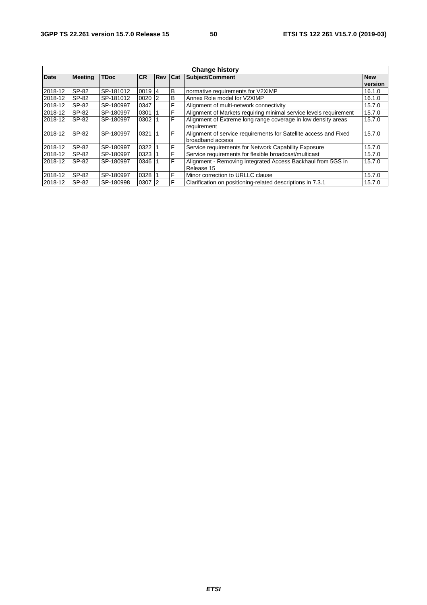| <b>Change history</b> |                |             |            |                |   |                                                                   |         |  |
|-----------------------|----------------|-------------|------------|----------------|---|-------------------------------------------------------------------|---------|--|
| <b>Date</b>           | <b>Meeting</b> | <b>TDoc</b> | <b>CR</b>  | Rev Cat        |   | Subject/Comment                                                   |         |  |
|                       |                |             |            |                |   |                                                                   | version |  |
| 2018-12               | SP-82          | SP-181012   | 0019       | 14             | B | normative requirements for V2XIMP                                 | 16.1.0  |  |
| 2018-12               | SP-82          | SP-181012   | 0020       | $\overline{2}$ | B | Annex Role model for V2XIMP                                       | 16.1.0  |  |
| 2018-12               | SP-82          | SP-180997   | 0347       |                | F | Alignment of multi-network connectivity                           | 15.7.0  |  |
| 2018-12               | SP-82          | SP-180997   | 0301       |                | F | Alignment of Markets requiring minimal service levels requirement | 15.7.0  |  |
| 2018-12               | SP-82          | SP-180997   | 0302       |                | F | Alignment of Extreme long range coverage in low density areas     | 15.7.0  |  |
|                       |                |             |            |                |   | requirement                                                       |         |  |
| 2018-12               | SP-82          | SP-180997   | 0321       |                | F | Alignment of service requirements for Satellite access and Fixed  | 15.7.0  |  |
|                       |                |             |            |                |   | broadband access                                                  |         |  |
| 2018-12               | SP-82          | SP-180997   | 0322       |                | F | Service requirements for Network Capability Exposure              | 15.7.0  |  |
| 2018-12               | SP-82          | SP-180997   | 0323       |                | F | Service requirements for flexible broadcast/multicast             | 15.7.0  |  |
| 2018-12               | SP-82          | SP-180997   | 0346       |                | F | Alignment - Removing Integrated Access Backhaul from 5GS in       | 15.7.0  |  |
|                       |                |             |            |                |   | Release 15                                                        |         |  |
| 2018-12               | SP-82          | SP-180997   | 0328       |                | F | Minor correction to URLLC clause                                  | 15.7.0  |  |
| 2018-12               | SP-82          | SP-180998   | $0307$   2 |                | F | Clarification on positioning-related descriptions in 7.3.1        | 15.7.0  |  |